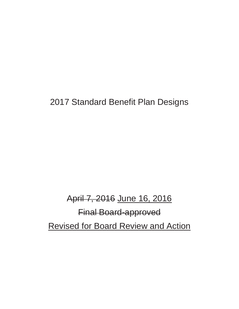## 2017 Standard Benefit Plan Designs

# April 7, 2016 June 16, 2016 Final Board-approved Revised for Board Review and Action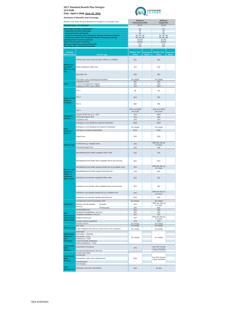**Date: April 7, 2016 June 16, 2016**



|                                                      | Member Cost Share amounts describe the Enrollee's out of pocket costs.                             |                                                                     | Platinum                           |                              | Platinum                           |                              |
|------------------------------------------------------|----------------------------------------------------------------------------------------------------|---------------------------------------------------------------------|------------------------------------|------------------------------|------------------------------------|------------------------------|
|                                                      | <b>Actuarial Value - AV Calculator</b>                                                             |                                                                     | <b>Coinsurance Plan</b><br>89.7%   |                              | <b>Copay Plan</b><br>90.3%         |                              |
|                                                      | Plan design includes a deductible?                                                                 |                                                                     | No                                 |                              | No                                 |                              |
|                                                      | <b>Integrated Individual deductible</b><br><b>Integrated Family deductible</b>                     |                                                                     | \$0<br>\$0                         |                              | \$0<br>\$0                         |                              |
|                                                      | Individual deductible, NOT integrated: Medical / Pharmacy / Dental                                 |                                                                     | \$0/\$0/\$0                        |                              | \$0/\$0/\$0                        |                              |
|                                                      | Family deductible, NOT integrated: Medical / Pharmacy / Dental<br>Individual Out-of-pocket maximum |                                                                     | \$0/\$0/\$0<br>\$4,000             |                              | \$0/\$0/\$0<br>\$4,000             |                              |
|                                                      | <b>Family Out-of-pocket maximum</b><br>HSA plan: Self-only coverage deductible                     |                                                                     | \$8,000<br>N/A                     |                              | \$8,000<br>N/A                     |                              |
|                                                      | HSA family plan: Individual deductible                                                             |                                                                     | N/A                                |                              | N/A                                |                              |
| Common<br><b>Medical Event</b>                       |                                                                                                    | <b>Service Type</b>                                                 | <b>Member Cost</b><br><b>Share</b> | <b>Deductible</b><br>Applies | <b>Member Cost</b><br><b>Share</b> | <b>Deductible</b><br>Applies |
|                                                      |                                                                                                    | Primary care visit to treat an injury, illness, or condition        |                                    |                              | \$15                               |                              |
| <b>Health care</b><br>provider's<br>office or clinic | Other practitioner office visit                                                                    |                                                                     | \$15                               |                              | \$15                               |                              |
| visit                                                | Specialist visit                                                                                   |                                                                     | \$40                               |                              | \$40                               |                              |
|                                                      | Preventive care/ screening/ immunization                                                           |                                                                     | No charge                          |                              | No charge                          |                              |
| <b>Tests</b>                                         | Laboratory Tests<br>X-rays and Diagnostic Imaging                                                  |                                                                     | \$20<br>\$40                       |                              | \$20<br>\$40                       |                              |
|                                                      | Imaging (CT/PET scans, MRIs)                                                                       |                                                                     | 10%                                |                              | \$150                              |                              |
|                                                      | Tier 1                                                                                             |                                                                     | \$5                                |                              | \$5                                |                              |
| <b>Drugs to treat</b><br>illness or                  | Tier 2                                                                                             |                                                                     | \$15                               |                              | \$15                               |                              |
| condition                                            | Tier <sub>3</sub>                                                                                  |                                                                     | \$25                               |                              | \$25                               |                              |
|                                                      | Tier <sub>4</sub>                                                                                  |                                                                     | 10% up to \$250<br>per script      |                              | 10% up to \$250<br>per script      |                              |
| <b>Outpatient</b>                                    | Surgery facility fee (e.g., ASC)<br>Physician/surgeon fees                                         |                                                                     | 10%<br>10%                         |                              | \$250<br>\$40                      |                              |
| services                                             | Outpatient visit                                                                                   |                                                                     | 10%                                |                              | 10%                                |                              |
|                                                      | Emergency room facility fee (waived if admitted)                                                   |                                                                     | \$150                              |                              | \$150                              |                              |
| <b>Need</b><br>immediate                             | Emergency room physician fee (waived if admitted)<br>Emergency medical transportation              |                                                                     | No charge<br>\$150                 |                              | No charge<br>\$150                 |                              |
| attention                                            | Urgent care                                                                                        |                                                                     | \$15                               |                              | \$15                               |                              |
|                                                      | Facility fee (e.g. hospital room)                                                                  |                                                                     | 10%                                |                              | \$250 per day up                   |                              |
| <b>Hospital stay</b>                                 | Physician/surgeon fee                                                                              |                                                                     | 10%                                |                              | to 5 days<br>\$40                  |                              |
|                                                      | Mental/Behavioral health outpatient office visits                                                  |                                                                     | \$15                               |                              | \$15                               |                              |
|                                                      | Mental/Behavioral health other outpatient items and services                                       |                                                                     | \$15                               |                              | \$15                               |                              |
|                                                      |                                                                                                    | Mental/Behavioral health inpatient facility fee (e.g.hospital room) | 10%                                |                              | \$250 per day up                   |                              |
| <b>Mental health.</b><br>behavioral                  | Mental/Behavioral health inpatient physician fee                                                   |                                                                     | 10%                                |                              | to 5 days<br>\$40                  |                              |
| health, or<br>substance<br>abuse needs               | Substance Use disorder outpatient office visits                                                    |                                                                     | \$15                               |                              | \$15                               |                              |
|                                                      | Substance Use disorder other outpatient items and services                                         |                                                                     | \$15                               |                              | \$15                               |                              |
|                                                      | Substance Use inpatient facility fee (e.g. hospital room)                                          |                                                                     | 10%                                |                              | \$250 per day up                   |                              |
|                                                      |                                                                                                    |                                                                     |                                    |                              | to 5 days                          |                              |
|                                                      | Substance use disorder inpatient physician fee                                                     |                                                                     | 10%                                |                              | \$40                               |                              |
| Pregnancy                                            | Prenatal care and preconception visits<br>Delivery and all inpatient                               |                                                                     | No charge<br>10%                   |                              | No charge<br>\$250 per day up      |                              |
|                                                      | services                                                                                           | Hospital<br>Professional                                            | 10%                                |                              | to 5 days<br>\$40                  |                              |
|                                                      | Home health care                                                                                   |                                                                     | 10%                                |                              | \$20                               |                              |
| Help                                                 | Outpatient Rehabilitation services<br>Outpatient Habilitation services                             |                                                                     | \$15<br>\$15                       |                              | \$15<br>\$15                       |                              |
| recovering or<br>other special                       | Skilled nursing care                                                                               |                                                                     | 10%                                |                              | \$150 per day up                   |                              |
| health needs                                         | Durable medical equipment                                                                          |                                                                     | 10%                                |                              | to 5 days<br>10%                   |                              |
|                                                      | Hospice service<br>Eye exam                                                                        |                                                                     | No charge<br>No charge             |                              | No charge<br>No charge             |                              |
| Child eye care                                       | 1 pair of glasses per year (or contact lenses in lieu of glasses)                                  |                                                                     | No charge                          |                              | No charge                          |                              |
|                                                      | Oral Exam                                                                                          |                                                                     |                                    |                              |                                    |                              |
| <b>Child Dental</b><br><b>Diagnostic</b>             | Preventive - Cleaning<br>Preventive - X-ray                                                        |                                                                     |                                    |                              |                                    |                              |
| and<br><b>Preventive</b>                             | Sealants per Tooth<br><b>Topical Fluoride Application</b><br>Space Maintainers - Fixed             |                                                                     | No charge                          |                              | No charge                          |                              |
| <b>Child Dental</b>                                  |                                                                                                    |                                                                     |                                    |                              |                                    |                              |
| <b>Basic</b><br><b>Services</b>                      | <b>Restorative Procedures</b><br>Periodontal Maintenance Services                                  |                                                                     | 20%                                |                              | See 2017 Dental<br>Copay Schedule  |                              |
|                                                      | <b>Crowns and Casts</b><br>Endodontics                                                             |                                                                     |                                    |                              |                                    |                              |
| <b>Child Dental</b><br>Major                         | Periodontics (other than maintenance)                                                              |                                                                     | 50%                                |                              | See 2017 Dental                    |                              |
| <b>Services</b>                                      | Prosthodontics<br>Oral Surgery                                                                     |                                                                     |                                    |                              | Copay Schedule                     |                              |
| <b>Child</b><br><b>Orthodontics</b>                  | Medically necessary orthodontics                                                                   |                                                                     | 50%                                |                              | \$1,000                            |                              |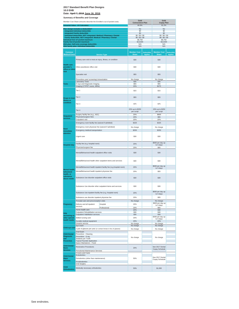**Date: April 7, 2016 June 16, 2016**

|                                                      | Member Cost Share amounts describe the Enrollee's out of pocket costs.                             |                                                                     | Gold<br><b>Coinsurance Plan</b>    |                                     | Gold<br><b>Copay Plan</b>             |                                     |
|------------------------------------------------------|----------------------------------------------------------------------------------------------------|---------------------------------------------------------------------|------------------------------------|-------------------------------------|---------------------------------------|-------------------------------------|
|                                                      | <b>Actuarial Value - AV Calculator</b>                                                             |                                                                     | 80.9%                              |                                     | 81.2%                                 |                                     |
|                                                      | Plan design includes a deductible?                                                                 |                                                                     | No                                 |                                     | No                                    |                                     |
|                                                      | <b>Integrated Individual deductible</b><br><b>Integrated Family deductible</b>                     |                                                                     | \$0<br>\$0                         |                                     | \$0<br>\$0                            |                                     |
|                                                      | Individual deductible, NOT integrated: Medical / Pharmacy / Dental                                 |                                                                     | \$0/\$0/\$0                        |                                     | \$0/\$0/\$0                           |                                     |
|                                                      | Family deductible, NOT integrated: Medical / Pharmacy / Dental<br>Individual Out-of-pocket maximum |                                                                     | \$0/\$0/\$0<br>\$6.750             |                                     | \$0/\$0/\$0<br>\$6,750                |                                     |
|                                                      | Family Out-of-pocket maximum                                                                       |                                                                     | \$13,500                           |                                     | \$13,500                              |                                     |
|                                                      | HSA plan: Self-only coverage deductible<br>HSA family plan: Individual deductible                  |                                                                     | N/A<br>N/A                         |                                     | N/A<br>N/A                            |                                     |
|                                                      |                                                                                                    |                                                                     |                                    |                                     |                                       |                                     |
| Common<br><b>Medical Event</b>                       |                                                                                                    | <b>Service Type</b>                                                 | <b>Member Cost</b><br><b>Share</b> | <b>Deductible</b><br><b>Applies</b> | <b>Member Cost</b><br><b>Share</b>    | <b>Deductible</b><br><b>Applies</b> |
|                                                      | Primary care visit to treat an injury, illness, or condition                                       |                                                                     | \$30                               |                                     | \$30                                  |                                     |
| <b>Health care</b><br>provider's<br>office or clinic | Other practitioner office visit                                                                    |                                                                     | \$30                               |                                     | \$30                                  |                                     |
| visit                                                | Specialist visit                                                                                   |                                                                     | \$55                               |                                     | \$55                                  |                                     |
|                                                      | Preventive care/ screening/ immunization                                                           |                                                                     | No charge                          |                                     | No charge                             |                                     |
| <b>Tests</b>                                         | Laboratory Tests<br>X-rays and Diagnostic Imaging                                                  |                                                                     | \$35<br>\$55                       |                                     | \$35<br>\$55                          |                                     |
|                                                      | Imaging (CT/PET scans, MRIs)                                                                       |                                                                     | 20%                                |                                     | \$275                                 |                                     |
|                                                      | Tier 1                                                                                             |                                                                     | \$15                               |                                     | \$15                                  |                                     |
| <b>Drugs to treat</b><br>illness or                  | Tier <sub>2</sub>                                                                                  |                                                                     | \$55                               |                                     | \$55                                  |                                     |
| condition                                            | Tier <sub>3</sub>                                                                                  |                                                                     | \$75                               |                                     | \$75                                  |                                     |
|                                                      | Tier 4                                                                                             |                                                                     | 20% up to \$250<br>per script      |                                     | 20% up to \$250<br>per script         |                                     |
| <b>Outpatient</b>                                    | Surgery facility fee (e.g., ASC)<br>Physician/surgeon fees                                         |                                                                     | 20%<br>20%                         |                                     | \$600<br>\$55                         |                                     |
| services                                             | Outpatient visit                                                                                   |                                                                     | 20%                                |                                     | 20%                                   |                                     |
|                                                      | Emergency room facility fee (waived if admitted)                                                   |                                                                     | \$325                              |                                     | \$325                                 |                                     |
|                                                      |                                                                                                    |                                                                     |                                    |                                     |                                       |                                     |
| <b>Need</b>                                          | Emergency room physician fee (waived if admitted)                                                  |                                                                     | No charge<br>\$250                 |                                     | No charge                             |                                     |
| immediate<br>attention                               | Emergency medical transportation                                                                   |                                                                     |                                    |                                     | \$250                                 |                                     |
|                                                      | Urgent care                                                                                        |                                                                     | \$30                               |                                     | \$30                                  |                                     |
|                                                      | Facility fee (e.g. hospital room)                                                                  |                                                                     | 20%                                |                                     | \$600 per day up                      |                                     |
| <b>Hospital stay</b>                                 | Physician/surgeon fee                                                                              |                                                                     | 20%                                |                                     | to 5 days<br>\$55                     |                                     |
|                                                      | Mental/Behavioral health outpatient office visits                                                  |                                                                     | \$30                               |                                     | \$30                                  |                                     |
|                                                      | Mental/Behavioral health other outpatient items and services                                       |                                                                     | \$30                               |                                     | \$30                                  |                                     |
|                                                      |                                                                                                    | Mental/Behavioral health inpatient facility fee (e.g.hospital room) | 20%                                |                                     | \$600 per day up<br>to 5 days         |                                     |
| Mental health,<br>behavioral                         | Mental/Behavioral health inpatient physician fee                                                   |                                                                     | 20%                                |                                     | \$55                                  |                                     |
| health, or<br>substance<br>abuse needs               | Substance Use disorder outpatient office visits                                                    |                                                                     | \$30                               |                                     | \$30                                  |                                     |
|                                                      | Substance Use disorder other outpatient items and services                                         |                                                                     | \$30                               |                                     | \$30                                  |                                     |
|                                                      | Substance Use inpatient facility fee (e.g. hospital room)                                          |                                                                     | 20%                                |                                     | \$600 per day up<br>to 5 days         |                                     |
|                                                      | Substance use disorder inpatient physician fee                                                     |                                                                     | 20%                                |                                     | \$55                                  |                                     |
|                                                      | Prenatal care and preconception visits                                                             |                                                                     | No charge                          |                                     | No charge                             |                                     |
| Pregnancy                                            | Delivery and all inpatient<br>services                                                             | Hospital<br>Professional                                            | 20%<br>20%                         |                                     | \$600 per day up<br>to 5 days<br>\$55 |                                     |
|                                                      | Home health care<br>Outpatient Rehabilitation services                                             |                                                                     | 20%                                |                                     | \$30                                  |                                     |
| Help                                                 | Outpatient Habilitation services                                                                   |                                                                     | \$30<br>\$30                       |                                     | \$30<br>\$30                          |                                     |
| recovering or<br>other special                       | Skilled nursing care                                                                               |                                                                     | 20%                                |                                     | \$300 per day up                      |                                     |
| health needs                                         | Durable medical equipment                                                                          |                                                                     | 20%                                |                                     | to 5 days<br>20%                      |                                     |
|                                                      | Hospice service                                                                                    |                                                                     | No charge                          |                                     | No charge                             |                                     |
| Child eye care                                       | Eye exam<br>1 pair of glasses per year (or contact lenses in lieu of glasses)                      |                                                                     | No charge<br>No charge             |                                     | No charge<br>No charge                |                                     |
|                                                      | Oral Exam                                                                                          |                                                                     |                                    |                                     |                                       |                                     |
| <b>Child Dental</b>                                  | Preventive - Cleaning                                                                              |                                                                     |                                    |                                     |                                       |                                     |
| <b>Diagnostic</b><br>and                             | Preventive - X-ray<br>Sealants per Tooth                                                           |                                                                     | No charge                          |                                     | No charge                             |                                     |
| <b>Preventive</b>                                    | <b>Topical Fluoride Application</b>                                                                |                                                                     |                                    |                                     |                                       |                                     |
| <b>Child Dental</b>                                  | Space Maintainers - Fixed                                                                          |                                                                     |                                    |                                     |                                       |                                     |
| <b>Basic</b><br><b>Services</b>                      | <b>Restorative Procedures</b><br>Periodontal Maintenance Services                                  |                                                                     | 20%                                |                                     | See 2017 Dental<br>Copay Schedule     |                                     |
|                                                      | Crowns and Casts<br>Endodontics                                                                    |                                                                     |                                    |                                     |                                       |                                     |
| <b>Child Dental</b><br>Major                         | Periodontics (other than maintenance)                                                              |                                                                     | 50%                                |                                     | See 2017 Dental                       |                                     |
| <b>Services</b>                                      | Prosthodontics                                                                                     |                                                                     |                                    |                                     | Copay Schedule                        |                                     |
|                                                      | Oral Surgery                                                                                       |                                                                     |                                    |                                     |                                       |                                     |
| <b>Child</b><br><b>Orthodontics</b>                  | Medically necessary orthodontics                                                                   |                                                                     | 50%                                |                                     | \$1,000                               |                                     |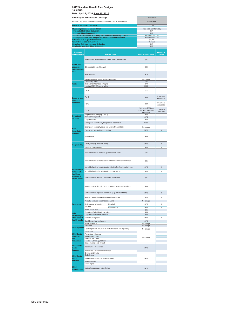|                                                      | Date: April 7, 2016 June 16, 2016                                                                  |                                                            |                                     |
|------------------------------------------------------|----------------------------------------------------------------------------------------------------|------------------------------------------------------------|-------------------------------------|
|                                                      | <b>Summary of Benefits and Coverage</b>                                                            | Individual                                                 |                                     |
|                                                      | Member Cost Share amounts describe the Enrollee's out of pocket costs.                             | <b>Silver Plan</b>                                         |                                     |
|                                                      | <b>Actuarial Value - AV Calculator</b>                                                             | 71.5%                                                      |                                     |
|                                                      | Plan design includes a deductible?                                                                 | Yes, Medical/Pharmacy                                      |                                     |
|                                                      | <b>Integrated Individual deductible</b><br><b>Integrated Family deductible</b>                     | N/A<br>N/A                                                 |                                     |
|                                                      | Individual deductible, NOT integrated: Medical / Pharmacy / Dental                                 | \$2,500/\$250/\$0                                          |                                     |
|                                                      | Family deductible, NOT integrated: Medical / Pharmacy / Dental<br>Individual Out-of-pocket maximum | \$5,000/\$500/\$0<br>\$6,800                               |                                     |
|                                                      | <b>Family Out-of-pocket maximum</b>                                                                | \$13,600                                                   |                                     |
|                                                      | HSA plan: Self-only coverage deductible<br>HSA family plan: Individual deductible                  | N/A<br>N/A                                                 |                                     |
|                                                      |                                                                                                    |                                                            |                                     |
| <b>Common</b><br><b>Medical Event</b>                | <b>Service Type</b>                                                                                | <b>Member Cost Share</b>                                   | <b>Deductible</b><br><b>Applies</b> |
|                                                      | Primary care visit to treat an injury, illness, or condition                                       | \$35                                                       |                                     |
| <b>Health care</b><br>provider's<br>office or clinic | Other practitioner office visit                                                                    | \$35                                                       |                                     |
| visit                                                | Specialist visit                                                                                   | \$70                                                       |                                     |
|                                                      | Preventive care/ screening/ immunization                                                           | No charge                                                  |                                     |
| <b>Tests</b>                                         | Laboratory Tests<br>X-rays and Diagnostic Imaging                                                  | \$35<br>\$70                                               |                                     |
|                                                      | Imaging (CT/PET scans, MRIs)                                                                       | \$300                                                      |                                     |
|                                                      | Tier <sub>1</sub>                                                                                  | \$15                                                       |                                     |
| <b>Drugs to treat</b>                                | Tier <sub>2</sub>                                                                                  | \$55                                                       | Pharmacy<br>deductible              |
| illness or<br>condition                              | Tier <sub>3</sub>                                                                                  | \$80                                                       | Pharmacy<br>deductible              |
|                                                      | Tier 4                                                                                             | 20% up to \$250 per<br>script after pharmacy<br>deductible | Pharmacy<br>deductible              |
| <b>Outpatient</b>                                    | Surgery facility fee (e.g., ASC)<br>Physician/surgeon fees                                         | 20%<br>20%                                                 |                                     |
| services                                             | Outpatient visit                                                                                   | 20%                                                        |                                     |
|                                                      | Emergency room facility fee (waived if admitted)                                                   | \$350                                                      |                                     |
|                                                      | Emergency room physician fee (waived if admitted)                                                  | No charge                                                  |                                     |
| <b>Need</b>                                          | Emergency medical transportation                                                                   | \$250                                                      | X                                   |
| immediate<br>attention                               | Urgent care                                                                                        | \$35                                                       |                                     |
| <b>Hospital stay</b>                                 | Facility fee (e.g. hospital room)                                                                  | 20%                                                        | X                                   |
|                                                      | Physician/surgeon fee                                                                              | 20%                                                        | Χ                                   |
|                                                      | Mental/Behavioral health outpatient office visits                                                  | \$35                                                       |                                     |
|                                                      | Mental/Behavioral health other outpatient items and services                                       | \$35                                                       |                                     |
|                                                      | Mental/Behavioral health inpatient facility fee (e.g.hospital room)                                | 20%                                                        | X                                   |
| Mental health,                                       |                                                                                                    |                                                            |                                     |
| behavioral<br>health, or                             | Mental/Behavioral health inpatient physician fee                                                   | 20%                                                        | Χ                                   |
| substance<br>abuse needs                             | Substance Use disorder outpatient office visits                                                    | \$35                                                       |                                     |
|                                                      | Substance Use disorder other outpatient items and services                                         | \$35                                                       |                                     |
|                                                      | Substance Use inpatient facility fee (e.g. hospital room)                                          | 20%                                                        | X                                   |
|                                                      | Substance use disorder inpatient physician fee                                                     | 20%                                                        | X                                   |
|                                                      | Prenatal care and preconception visits                                                             | No charge                                                  |                                     |
| Pregnancy                                            | Delivery and all inpatient<br>Hospital<br>services                                                 | 20%                                                        | Χ                                   |
|                                                      | Professional                                                                                       | 20%<br>\$45                                                | X                                   |
| Help                                                 | Home health care<br>Outpatient Rehabilitation services                                             | \$35                                                       |                                     |
| recovering or                                        | Outpatient Habilitation services                                                                   | \$35                                                       |                                     |
| other special<br>health needs                        | Skilled nursing care                                                                               | 20%                                                        | Χ                                   |
|                                                      | Durable medical equipment                                                                          | 20%                                                        |                                     |
|                                                      | Hospice service<br>Eye exam                                                                        | No charge<br>No charge                                     |                                     |
| Child eye care                                       | 1 pair of glasses per year (or contact lenses in lieu of glasses)                                  | No charge                                                  |                                     |
|                                                      | Oral Exam                                                                                          |                                                            |                                     |
| <b>Child Dental</b><br><b>Diagnostic</b>             | Preventive - Cleaning<br>Preventive - X-ray                                                        |                                                            |                                     |
| and                                                  | Sealants per Tooth                                                                                 | No charge                                                  |                                     |
| <b>Preventive</b>                                    | <b>Topical Fluoride Application</b><br>Space Maintainers - Fixed                                   |                                                            |                                     |
| <b>Child Dental</b><br><b>Basic</b>                  | <b>Restorative Procedures</b>                                                                      | 20%                                                        |                                     |
| <b>Services</b>                                      | Periodontal Maintenance Services<br>Crowns and Casts                                               |                                                            |                                     |
| <b>Child Dental</b>                                  | Endodontics                                                                                        |                                                            |                                     |
| Major                                                | Periodontics (other than maintenance)                                                              | 50%                                                        |                                     |
| <b>Services</b>                                      | Prosthodontics                                                                                     |                                                            |                                     |
| Child                                                | Oral Surgery<br>Medically necessary orthodontics                                                   | 50%                                                        |                                     |
| <b>Orthodontics</b>                                  |                                                                                                    |                                                            |                                     |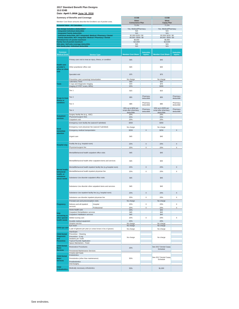|                                                               | <b>Summary of Benefits and Coverage</b>                                                            |                                                                     | <b>CCSB</b>                              |                                     | <b>CCSB</b>                         |                                     |
|---------------------------------------------------------------|----------------------------------------------------------------------------------------------------|---------------------------------------------------------------------|------------------------------------------|-------------------------------------|-------------------------------------|-------------------------------------|
|                                                               | Member Cost Share amounts describe the Enrollee's out of pocket costs.                             |                                                                     | <b>Silver</b><br><b>Coinsurance Plan</b> |                                     | Silver<br><b>Copay Plan</b>         |                                     |
|                                                               | <b>Actuarial Value - AV Calculator</b>                                                             |                                                                     | 71.6%                                    |                                     | 71.3%                               |                                     |
|                                                               | Plan design includes a deductible?                                                                 |                                                                     | Yes, Medical/Pharmacy                    |                                     | Yes, Medical/Pharmacy               |                                     |
|                                                               | <b>Integrated Individual deductible</b><br><b>Integrated Family deductible</b>                     |                                                                     | N/A<br>N/A                               |                                     | N/A<br>N/A                          |                                     |
|                                                               | Individual deductible, NOT integrated: Medical / Pharmacy / Dental                                 |                                                                     | \$2,000/\$250/\$0                        |                                     | \$2,000/\$250/\$0                   |                                     |
|                                                               | Family deductible, NOT integrated: Medical / Pharmacy / Dental<br>Individual Out-of-pocket maximum |                                                                     | \$4,000 / \$500 / \$0<br>\$6,800         |                                     | \$4,000 / \$500 / \$0<br>\$6,800    |                                     |
|                                                               | <b>Family Out-of-pocket maximum</b>                                                                |                                                                     | \$13,600                                 |                                     | \$13,600                            |                                     |
|                                                               | HSA plan: Self-only coverage deductible<br>HSA family plan: Individual deductible                  |                                                                     | N/A<br>N/A                               |                                     | N/A<br>N/A                          |                                     |
|                                                               |                                                                                                    |                                                                     |                                          |                                     |                                     |                                     |
| Common<br><b>Medical Event</b>                                |                                                                                                    | <b>Service Type</b>                                                 | <b>Member Cost Share</b>                 | <b>Deductible</b><br><b>Applies</b> | <b>Member Cost Share</b>            | <b>Deductible</b><br><b>Applies</b> |
|                                                               | Primary care visit to treat an injury, illness, or condition                                       |                                                                     | \$45                                     |                                     | \$45                                |                                     |
| <b>Health care</b><br>provider's<br>office or clinic<br>visit | Other practitioner office visit                                                                    |                                                                     | \$45                                     |                                     | \$45                                |                                     |
|                                                               | Specialist visit                                                                                   |                                                                     | \$75                                     |                                     | \$75                                |                                     |
|                                                               | Preventive care/ screening/ immunization                                                           |                                                                     | No charge                                |                                     | No charge                           |                                     |
| <b>Tests</b>                                                  | <b>Laboratory Tests</b><br>X-rays and Diagnostic Imaging                                           |                                                                     | \$40<br>\$70                             |                                     | \$40<br>\$70                        |                                     |
|                                                               | Imaging (CT/PET scans, MRIs)                                                                       |                                                                     | 20%                                      |                                     | \$300                               |                                     |
|                                                               | Tier 1                                                                                             |                                                                     | \$15                                     |                                     | \$15                                |                                     |
|                                                               | Tier 2                                                                                             |                                                                     | \$55                                     | Pharmacy                            | \$55                                | Pharmacy                            |
| <b>Drugs to treat</b><br>illness or<br>condition              |                                                                                                    |                                                                     |                                          | deductible<br>Pharmacy              |                                     | deductible<br>Pharmacy              |
|                                                               | Tier <sub>3</sub>                                                                                  |                                                                     | \$85<br>20% up to \$250 per              | deductible                          | \$85<br>20% up to \$250 per         | deductible                          |
|                                                               | Tier <sub>4</sub>                                                                                  |                                                                     | script after pharmacy<br>deductible      | Pharmacy<br>deductible              | script after pharmacy<br>deductible | Pharmacy<br>deductible              |
| <b>Outpatient</b>                                             | Surgery facility fee (e.g., ASC)                                                                   |                                                                     | 20%                                      |                                     | 20%                                 |                                     |
| services                                                      | Physician/surgeon fees<br>Outpatient visit                                                         |                                                                     | 20%<br>20%                               |                                     | 20%<br>20%                          |                                     |
|                                                               | Emergency room facility fee (waived if admitted)                                                   |                                                                     | \$350                                    |                                     | \$350                               |                                     |
|                                                               |                                                                                                    |                                                                     |                                          |                                     |                                     |                                     |
| <b>Need</b>                                                   | Emergency room physician fee (waived if admitted)                                                  |                                                                     | No charge                                |                                     | No charge                           |                                     |
| immediate<br>attention                                        | Emergency medical transportation                                                                   |                                                                     | \$250                                    | X                                   | \$250                               | X                                   |
|                                                               | Urgent care                                                                                        |                                                                     | \$45                                     |                                     | \$45                                |                                     |
|                                                               | Facility fee (e.g. hospital room)                                                                  |                                                                     | 20%                                      | $\mathsf X$                         | 20%                                 | X                                   |
| <b>Hospital stay</b>                                          | Physician/surgeon fee                                                                              |                                                                     | 20%                                      | X                                   | 20%                                 | Χ                                   |
|                                                               | Mental/Behavioral health outpatient office visits                                                  |                                                                     | \$45                                     |                                     | \$45                                |                                     |
|                                                               |                                                                                                    | Mental/Behavioral health other outpatient items and services        | \$45                                     |                                     | \$45                                |                                     |
|                                                               |                                                                                                    | Mental/Behavioral health inpatient facility fee (e.g.hospital room) | 20%                                      | X                                   | 20%                                 | X                                   |
| Mental health,                                                |                                                                                                    |                                                                     |                                          |                                     |                                     |                                     |
| behavioral<br>health, or                                      | Mental/Behavioral health inpatient physician fee                                                   |                                                                     | 20%                                      | X                                   | 20%                                 | Χ                                   |
| substance<br>abuse needs                                      | Substance Use disorder outpatient office visits                                                    |                                                                     | \$45                                     |                                     | \$45                                |                                     |
|                                                               |                                                                                                    | Substance Use disorder other outpatient items and services          | \$45                                     |                                     | \$45                                |                                     |
|                                                               | Substance Use inpatient facility fee (e.g. hospital room)                                          |                                                                     | 20%                                      | X                                   | 20%                                 | X                                   |
|                                                               | Substance use disorder inpatient physician fee                                                     |                                                                     | 20%                                      | X                                   | 20%                                 | X                                   |
|                                                               | Prenatal care and preconception visits                                                             |                                                                     | No charge                                |                                     | No charge                           |                                     |
| Pregnancy                                                     | Delivery and all inpatient                                                                         | Hospital                                                            | 20%                                      | X                                   | 20%                                 | X                                   |
|                                                               | services                                                                                           | Professional                                                        | 20%                                      | X                                   | 20%                                 | X                                   |
|                                                               | Home health care                                                                                   |                                                                     | 20%                                      |                                     | \$45                                |                                     |
| Help                                                          | Outpatient Rehabilitation services<br>Outpatient Habilitation services                             |                                                                     | \$45<br>\$45                             |                                     | \$45<br>\$45                        |                                     |
| recovering or<br>other special                                | Skilled nursing care                                                                               |                                                                     | 20%                                      | X                                   | 20%                                 | Χ                                   |
| health needs                                                  | Durable medical equipment                                                                          |                                                                     | 20%                                      |                                     | 20%                                 |                                     |
|                                                               | Hospice service                                                                                    |                                                                     | No charge                                |                                     | No charge                           |                                     |
| Child eye care                                                | Eye exam<br>1 pair of glasses per year (or contact lenses in lieu of glasses)                      |                                                                     | No charge                                |                                     | No charge                           |                                     |
|                                                               | Oral Exam                                                                                          |                                                                     | No charge                                |                                     | No charge                           |                                     |
| <b>Child Dental</b>                                           | Preventive - Cleaning                                                                              |                                                                     |                                          |                                     |                                     |                                     |
| <b>Diagnostic</b><br>and                                      | Preventive - X-ray<br>Sealants per Tooth                                                           |                                                                     | No charge                                |                                     | No charge                           |                                     |
| <b>Preventive</b>                                             | <b>Topical Fluoride Application</b>                                                                |                                                                     |                                          |                                     |                                     |                                     |
| <b>Child Dental</b>                                           | Space Maintainers - Fixed                                                                          |                                                                     |                                          |                                     |                                     |                                     |
| <b>Basic</b>                                                  | <b>Restorative Procedures</b>                                                                      |                                                                     | 20%                                      |                                     | See 2017 Dental Copay<br>Schedule   |                                     |
| <b>Services</b>                                               | Periodontal Maintenance Services                                                                   |                                                                     |                                          |                                     |                                     |                                     |
|                                                               | Crowns and Casts<br>Endodontics                                                                    |                                                                     |                                          |                                     |                                     |                                     |
| <b>Child Dental</b><br><b>Major</b>                           | Periodontics (other than maintenance)                                                              |                                                                     | 50%                                      |                                     | See 2017 Dental Copay               |                                     |
| <b>Services</b>                                               | Prosthodontics                                                                                     |                                                                     |                                          |                                     | Schedule                            |                                     |
|                                                               | Oral Surgery                                                                                       |                                                                     |                                          |                                     |                                     |                                     |
| <b>Child</b><br><b>Orthodontics</b>                           | Medically necessary orthodontics                                                                   |                                                                     | 50%                                      |                                     | \$1,000                             |                                     |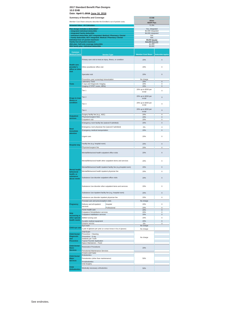|                                                                                                                                                                                                                                                                                                                                                             | <b>Summary of Benefits and Coverage</b>                                                                                              |                                                                     | <b>CCSB</b>                           |                           |
|-------------------------------------------------------------------------------------------------------------------------------------------------------------------------------------------------------------------------------------------------------------------------------------------------------------------------------------------------------------|--------------------------------------------------------------------------------------------------------------------------------------|---------------------------------------------------------------------|---------------------------------------|---------------------------|
|                                                                                                                                                                                                                                                                                                                                                             |                                                                                                                                      |                                                                     | <b>Silver</b>                         |                           |
|                                                                                                                                                                                                                                                                                                                                                             | Member Cost Share amounts describe the Enrollee's out of pocket costs.                                                               |                                                                     | <b>HDHP Plan</b>                      |                           |
|                                                                                                                                                                                                                                                                                                                                                             | <b>Actuarial Value - AV Calculator</b>                                                                                               |                                                                     | 71.3%                                 |                           |
|                                                                                                                                                                                                                                                                                                                                                             | Plan design includes a deductible?<br>Integrated Individual deductible                                                               |                                                                     | Yes, integrated<br>\$2,000 integrated |                           |
|                                                                                                                                                                                                                                                                                                                                                             | <b>Integrated Family deductible</b>                                                                                                  |                                                                     | \$4,000 integrated                    |                           |
|                                                                                                                                                                                                                                                                                                                                                             | Individual deductible, NOT integrated: Medical / Pharmacy / Dental<br>Family deductible, NOT integrated: Medical / Pharmacy / Dental |                                                                     | N/A<br>N/A                            |                           |
|                                                                                                                                                                                                                                                                                                                                                             | Individual Out-of-pocket maximum                                                                                                     |                                                                     | \$6,650 \$6,550                       |                           |
|                                                                                                                                                                                                                                                                                                                                                             | <b>Family Out-of-pocket maximum</b>                                                                                                  |                                                                     | \$13,300 \$13,100                     |                           |
|                                                                                                                                                                                                                                                                                                                                                             | HSA plan: Self-only coverage deductible<br>HSA family plan: Individual deductible                                                    |                                                                     | \$2,000<br>\$2,600                    |                           |
|                                                                                                                                                                                                                                                                                                                                                             |                                                                                                                                      |                                                                     |                                       |                           |
| <b>Common</b><br><b>Medical Event</b>                                                                                                                                                                                                                                                                                                                       |                                                                                                                                      | <b>Service Type</b>                                                 | <b>Member Cost Share</b>              | <b>Deductible Applies</b> |
|                                                                                                                                                                                                                                                                                                                                                             | Primary care visit to treat an injury, illness, or condition                                                                         |                                                                     | 20%                                   | X                         |
| <b>Health care</b><br>provider's<br>office or clinic                                                                                                                                                                                                                                                                                                        | Other practitioner office visit                                                                                                      |                                                                     | 20%                                   | X                         |
| visit                                                                                                                                                                                                                                                                                                                                                       | Specialist visit                                                                                                                     |                                                                     | 20%                                   | X                         |
|                                                                                                                                                                                                                                                                                                                                                             |                                                                                                                                      |                                                                     |                                       |                           |
|                                                                                                                                                                                                                                                                                                                                                             | Preventive care/ screening/ immunization<br><b>Laboratory Tests</b>                                                                  |                                                                     | No charge<br>20%                      | $\times$                  |
| <b>Tests</b>                                                                                                                                                                                                                                                                                                                                                | X-rays and Diagnostic Imaging                                                                                                        |                                                                     | 20%                                   | X                         |
|                                                                                                                                                                                                                                                                                                                                                             | Imaging (CT/PET scans, MRIs)                                                                                                         |                                                                     | 20%                                   | X                         |
|                                                                                                                                                                                                                                                                                                                                                             | Tier 1                                                                                                                               |                                                                     | 20% up to \$250 per<br>script         | Χ                         |
| <b>Drugs to treat</b>                                                                                                                                                                                                                                                                                                                                       | Tier <sub>2</sub>                                                                                                                    |                                                                     | 20% up to \$250 per<br>script         | X                         |
| illness or<br>condition                                                                                                                                                                                                                                                                                                                                     | Tier <sub>3</sub>                                                                                                                    |                                                                     | 20% up to \$250 per<br>script         | X                         |
|                                                                                                                                                                                                                                                                                                                                                             | Tier <sub>4</sub>                                                                                                                    |                                                                     | 20% up to \$250 per<br>script         | X                         |
|                                                                                                                                                                                                                                                                                                                                                             | Surgery facility fee (e.g., ASC)                                                                                                     |                                                                     | 20%                                   | X                         |
| <b>Outpatient</b><br>services                                                                                                                                                                                                                                                                                                                               | Physician/surgeon fees                                                                                                               |                                                                     | 20%                                   | X                         |
|                                                                                                                                                                                                                                                                                                                                                             | Outpatient visit                                                                                                                     |                                                                     | 20%                                   | х                         |
|                                                                                                                                                                                                                                                                                                                                                             | Emergency room facility fee (waived if admitted)                                                                                     |                                                                     | 20%                                   | X                         |
|                                                                                                                                                                                                                                                                                                                                                             | Emergency room physician fee (waived if admitted)                                                                                    |                                                                     | 0%                                    | Χ                         |
| <b>Need</b><br>immediate                                                                                                                                                                                                                                                                                                                                    | Emergency medical transportation                                                                                                     |                                                                     | 20%                                   | Χ                         |
| attention                                                                                                                                                                                                                                                                                                                                                   | Urgent care                                                                                                                          |                                                                     | 20%                                   | Χ                         |
|                                                                                                                                                                                                                                                                                                                                                             | Facility fee (e.g. hospital room)                                                                                                    |                                                                     | 20%                                   | X                         |
| <b>Hospital stay</b>                                                                                                                                                                                                                                                                                                                                        | Physician/surgeon fee                                                                                                                |                                                                     | 20%                                   | Χ                         |
|                                                                                                                                                                                                                                                                                                                                                             | Mental/Behavioral health outpatient office visits                                                                                    |                                                                     | 20%                                   | X                         |
|                                                                                                                                                                                                                                                                                                                                                             | Mental/Behavioral health other outpatient items and services                                                                         |                                                                     |                                       |                           |
|                                                                                                                                                                                                                                                                                                                                                             |                                                                                                                                      |                                                                     | 20%                                   | Χ                         |
|                                                                                                                                                                                                                                                                                                                                                             |                                                                                                                                      |                                                                     |                                       | X                         |
|                                                                                                                                                                                                                                                                                                                                                             |                                                                                                                                      | Mental/Behavioral health inpatient facility fee (e.g.hospital room) | 20%                                   |                           |
|                                                                                                                                                                                                                                                                                                                                                             | Mental/Behavioral health inpatient physician fee<br>Substance Use disorder outpatient office visits                                  |                                                                     | 20%<br>20%                            | Χ<br>X                    |
|                                                                                                                                                                                                                                                                                                                                                             |                                                                                                                                      | Substance Use disorder other outpatient items and services          | 20%                                   | X                         |
|                                                                                                                                                                                                                                                                                                                                                             | Substance Use inpatient facility fee (e.g. hospital room)                                                                            |                                                                     | 20%                                   | X                         |
|                                                                                                                                                                                                                                                                                                                                                             | Substance use disorder inpatient physician fee                                                                                       |                                                                     | 20%                                   | Χ                         |
|                                                                                                                                                                                                                                                                                                                                                             | Prenatal care and preconception visits                                                                                               |                                                                     | No charge                             |                           |
|                                                                                                                                                                                                                                                                                                                                                             | Delivery and all inpatient                                                                                                           | Hospital                                                            | 20%                                   | Χ                         |
|                                                                                                                                                                                                                                                                                                                                                             | services                                                                                                                             | Professional                                                        | 20%                                   | X                         |
|                                                                                                                                                                                                                                                                                                                                                             | Home health care                                                                                                                     |                                                                     | 20%                                   | X                         |
|                                                                                                                                                                                                                                                                                                                                                             | Outpatient Rehabilitation services<br>Outpatient Habilitation services                                                               |                                                                     | 20%<br>20%                            | X<br>X                    |
|                                                                                                                                                                                                                                                                                                                                                             | Skilled nursing care                                                                                                                 |                                                                     | 20%                                   | Χ                         |
|                                                                                                                                                                                                                                                                                                                                                             | Durable medical equipment                                                                                                            |                                                                     | 20%                                   | $\overline{\mathsf{x}}$   |
|                                                                                                                                                                                                                                                                                                                                                             | Hospice service                                                                                                                      |                                                                     | 0%                                    | X                         |
|                                                                                                                                                                                                                                                                                                                                                             | Eye exam                                                                                                                             |                                                                     | No charge                             |                           |
|                                                                                                                                                                                                                                                                                                                                                             | 1 pair of glasses per year (or contact lenses in lieu of glasses)                                                                    |                                                                     | No charge                             |                           |
|                                                                                                                                                                                                                                                                                                                                                             | Oral Exam                                                                                                                            |                                                                     |                                       |                           |
|                                                                                                                                                                                                                                                                                                                                                             | Preventive - Cleaning<br>Preventive - X-ray                                                                                          |                                                                     |                                       |                           |
|                                                                                                                                                                                                                                                                                                                                                             | Sealants per Tooth                                                                                                                   |                                                                     | No charge                             |                           |
|                                                                                                                                                                                                                                                                                                                                                             | <b>Topical Fluoride Application</b>                                                                                                  |                                                                     |                                       |                           |
|                                                                                                                                                                                                                                                                                                                                                             | Space Maintainers - Fixed                                                                                                            |                                                                     |                                       |                           |
|                                                                                                                                                                                                                                                                                                                                                             | <b>Restorative Procedures</b>                                                                                                        |                                                                     | 20%                                   |                           |
|                                                                                                                                                                                                                                                                                                                                                             | Periodontal Maintenance Services                                                                                                     |                                                                     |                                       |                           |
|                                                                                                                                                                                                                                                                                                                                                             | Crowns and Casts<br>Endodontics                                                                                                      |                                                                     |                                       |                           |
|                                                                                                                                                                                                                                                                                                                                                             |                                                                                                                                      |                                                                     | 50%                                   |                           |
|                                                                                                                                                                                                                                                                                                                                                             | Periodontics (other than maintenance)                                                                                                |                                                                     |                                       |                           |
| Mental health,<br>behavioral<br>health, or<br>substance<br>abuse needs<br>Pregnancy<br><b>Help</b><br>recovering or<br>other special<br>health needs<br>Child eye care<br><b>Child Dental</b><br><b>Diagnostic</b><br>and<br><b>Preventive</b><br><b>Child Dental</b><br><b>Basic</b><br><b>Services</b><br><b>Child Dental</b><br>Major<br><b>Services</b> | Prosthodontics<br><b>Oral Surgery</b>                                                                                                |                                                                     |                                       |                           |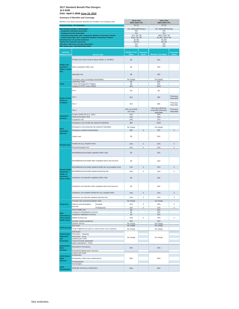**Date: April 7, 2016 June 16, 2016**

| Member Cost Share amounts describe the Enrollee's out of pocket costs. |                                                                                                    | <b>Silver Plan</b><br>100%-150% FPL                                 |                                    | <b>Silver Plan</b><br>150%-200% FPL |                                              |                                     |
|------------------------------------------------------------------------|----------------------------------------------------------------------------------------------------|---------------------------------------------------------------------|------------------------------------|-------------------------------------|----------------------------------------------|-------------------------------------|
|                                                                        | <b>Actuarial Value - AV Calculator</b>                                                             |                                                                     | 94.1%                              |                                     | 87.5%                                        |                                     |
|                                                                        | Plan design includes a deductible?                                                                 |                                                                     | Yes, Medical/Pharmacy              |                                     | Yes, Medical/Pharmacy                        |                                     |
|                                                                        | <b>Integrated Individual deductible</b><br><b>Integrated Family deductible</b>                     |                                                                     | N/A<br>N/A                         |                                     | N/A<br>N/A                                   |                                     |
|                                                                        | Individual deductible, NOT integrated: Medical / Pharmacy / Dental                                 |                                                                     | \$75/\$0/\$0<br>\$150 / \$0 / \$0  |                                     | \$650 / \$50 / \$0                           |                                     |
|                                                                        | Family deductible, NOT integrated: Medical / Pharmacy / Dental<br>Individual Out-of-pocket maximum |                                                                     | \$2,350                            |                                     | \$1,300 / \$100 / \$0<br>\$2,350             |                                     |
|                                                                        | <b>Family Out-of-pocket maximum</b><br>HSA plan: Self-only coverage deductible                     |                                                                     | \$4,700<br>N/A                     |                                     | \$4,700<br>N/A                               |                                     |
|                                                                        | HSA family plan: Individual deductible                                                             |                                                                     | N/A                                |                                     | N/A                                          |                                     |
|                                                                        |                                                                                                    |                                                                     |                                    |                                     |                                              |                                     |
| Common<br><b>Medical Event</b>                                         |                                                                                                    | <b>Service Type</b>                                                 | <b>Member Cost</b><br><b>Share</b> | <b>Deductible</b><br><b>Applies</b> | <b>Member Cost Share</b>                     | <b>Deductible</b><br><b>Applies</b> |
|                                                                        |                                                                                                    |                                                                     |                                    |                                     |                                              |                                     |
|                                                                        | Primary care visit to treat an injury, illness, or condition                                       |                                                                     | \$5                                |                                     | \$10                                         |                                     |
| <b>Health care</b>                                                     |                                                                                                    |                                                                     |                                    |                                     |                                              |                                     |
| provider's                                                             | Other practitioner office visit                                                                    |                                                                     | \$5                                |                                     | \$10                                         |                                     |
| office or clinic<br>visit                                              |                                                                                                    |                                                                     |                                    |                                     |                                              |                                     |
|                                                                        | Specialist visit                                                                                   |                                                                     | \$8                                |                                     | \$25                                         |                                     |
|                                                                        | Preventive care/ screening/ immunization                                                           |                                                                     | No charge                          |                                     | No charge                                    |                                     |
|                                                                        | <b>Laboratory Tests</b>                                                                            |                                                                     | \$8                                |                                     | \$15                                         |                                     |
| <b>Tests</b>                                                           | X-rays and Diagnostic Imaging<br>Imaging (CT/PET scans, MRIs)                                      |                                                                     | \$8<br>\$50                        |                                     | \$25<br>\$100                                |                                     |
|                                                                        |                                                                                                    |                                                                     |                                    |                                     |                                              |                                     |
|                                                                        | Tier 1                                                                                             |                                                                     | \$3                                |                                     | \$5                                          |                                     |
|                                                                        |                                                                                                    |                                                                     |                                    |                                     |                                              | Pharmacy                            |
| <b>Drugs to treat</b><br>illness or                                    | Tier 2                                                                                             |                                                                     | \$10                               |                                     | \$20                                         | deductible                          |
| condition                                                              | Tier <sub>3</sub>                                                                                  |                                                                     | \$15                               |                                     | \$35                                         | Pharmacy                            |
|                                                                        |                                                                                                    |                                                                     |                                    |                                     |                                              | deductible                          |
|                                                                        | Tier 4                                                                                             |                                                                     | 10% up to \$150                    |                                     | 15% up to \$150 per<br>script after pharmacy | Pharmacy                            |
|                                                                        |                                                                                                    |                                                                     | per script                         |                                     | deductible                                   | deductible                          |
| <b>Outpatient</b>                                                      | Surgery facility fee (e.g., ASC)<br>Physician/surgeon fees                                         |                                                                     | 10%<br>10%                         |                                     | 15%<br>15%                                   |                                     |
| services                                                               | Outpatient visit                                                                                   |                                                                     | 10%                                |                                     | 15%                                          |                                     |
|                                                                        | Emergency room facility fee (waived if admitted)                                                   |                                                                     | \$50                               |                                     | \$100                                        |                                     |
|                                                                        | Emergency room physician fee (waived if admitted)                                                  |                                                                     | No charge                          |                                     | No charge                                    |                                     |
| <b>Need</b><br>immediate                                               | Emergency medical transportation                                                                   |                                                                     | \$30                               | X                                   | \$75                                         | X                                   |
| attention                                                              |                                                                                                    |                                                                     |                                    |                                     |                                              |                                     |
|                                                                        | Urgent care                                                                                        |                                                                     | \$5                                |                                     | \$10                                         |                                     |
|                                                                        |                                                                                                    |                                                                     |                                    |                                     |                                              |                                     |
|                                                                        | Facility fee (e.g. hospital room)                                                                  |                                                                     | 10%                                | X                                   | 15%                                          | X                                   |
| <b>Hospital stay</b>                                                   | Physician/surgeon fee                                                                              |                                                                     | 10%                                | Χ                                   | 15%                                          | Χ                                   |
|                                                                        |                                                                                                    |                                                                     |                                    |                                     |                                              |                                     |
|                                                                        | Mental/Behavioral health outpatient office visits                                                  |                                                                     | \$5                                |                                     | \$10                                         |                                     |
|                                                                        |                                                                                                    |                                                                     |                                    |                                     |                                              |                                     |
|                                                                        | Mental/Behavioral health other outpatient items and services                                       |                                                                     | \$5                                |                                     | \$10                                         |                                     |
|                                                                        |                                                                                                    |                                                                     |                                    |                                     |                                              |                                     |
|                                                                        |                                                                                                    | Mental/Behavioral health inpatient facility fee (e.g.hospital room) | 10%                                | X                                   | 15%                                          | X                                   |
| Mental health,<br>behavioral                                           | Mental/Behavioral health inpatient physician fee                                                   |                                                                     | 10%                                | X                                   | 15%                                          | X                                   |
| health, or                                                             |                                                                                                    |                                                                     |                                    |                                     |                                              |                                     |
| substance<br>abuse needs                                               | Substance Use disorder outpatient office visits                                                    |                                                                     | \$5                                |                                     | \$10                                         |                                     |
|                                                                        |                                                                                                    |                                                                     |                                    |                                     |                                              |                                     |
|                                                                        | Substance Use disorder other outpatient items and services                                         |                                                                     | \$5                                |                                     | \$10                                         |                                     |
|                                                                        |                                                                                                    |                                                                     |                                    |                                     |                                              |                                     |
|                                                                        | Substance Use inpatient facility fee (e.g. hospital room)                                          |                                                                     | 10%                                | X                                   | 15%                                          | X                                   |
|                                                                        |                                                                                                    |                                                                     |                                    |                                     |                                              |                                     |
|                                                                        | Substance use disorder inpatient physician fee                                                     |                                                                     | 10%                                | X                                   | 15%                                          | X                                   |
|                                                                        | Prenatal care and preconception visits                                                             |                                                                     | No charge                          |                                     | No charge                                    |                                     |
| Pregnancy                                                              | Delivery and all inpatient<br>services                                                             | Hospital                                                            | 10%                                | X                                   | 15%                                          | X                                   |
|                                                                        | Home health care                                                                                   | Professional                                                        | 10%<br>\$3                         | Χ                                   | 15%<br>\$15                                  | X                                   |
| Help                                                                   | Outpatient Rehabilitation services                                                                 |                                                                     | \$5                                |                                     | \$10                                         |                                     |
| recovering or                                                          | Outpatient Habilitation services                                                                   |                                                                     | \$5                                |                                     | \$10                                         |                                     |
| other special<br>health needs                                          | Skilled nursing care                                                                               |                                                                     | 10%                                | X                                   | 15%                                          | X                                   |
|                                                                        | Durable medical equipment<br>Hospice service                                                       |                                                                     | 10%<br>No charge                   |                                     | 15%<br>No charge                             |                                     |
|                                                                        | Eye exam                                                                                           |                                                                     | No charge                          |                                     | No charge                                    |                                     |
| Child eye care                                                         | 1 pair of glasses per year (or contact lenses in lieu of glasses)                                  |                                                                     | No charge                          |                                     | No charge                                    |                                     |
| <b>Child Dental</b>                                                    | Oral Exam<br>Preventive - Cleaning                                                                 |                                                                     |                                    |                                     |                                              |                                     |
| <b>Diagnostic</b>                                                      | Preventive - X-ray                                                                                 |                                                                     | No charge                          |                                     | No charge                                    |                                     |
| and<br><b>Preventive</b>                                               | Sealants per Tooth<br><b>Topical Fluoride Application</b>                                          |                                                                     |                                    |                                     |                                              |                                     |
|                                                                        | Space Maintainers - Fixed                                                                          |                                                                     |                                    |                                     |                                              |                                     |
| <b>Child Dental</b><br><b>Basic</b>                                    | <b>Restorative Procedures</b>                                                                      |                                                                     | 20%                                |                                     | 20%                                          |                                     |
| <b>Services</b>                                                        | Periodontal Maintenance Services                                                                   |                                                                     |                                    |                                     |                                              |                                     |
|                                                                        | Crowns and Casts<br>Endodontics                                                                    |                                                                     |                                    |                                     |                                              |                                     |
| <b>Child Dental</b><br>Major                                           | Periodontics (other than maintenance)                                                              |                                                                     | 50%                                |                                     | 50%                                          |                                     |
| <b>Services</b>                                                        | Prosthodontics                                                                                     |                                                                     |                                    |                                     |                                              |                                     |
|                                                                        | Oral Surgery                                                                                       |                                                                     |                                    |                                     |                                              |                                     |
| <b>Child</b>                                                           | Medically necessary orthodontics                                                                   |                                                                     | 50%                                |                                     | 50%                                          |                                     |
| <b>Orthodontics</b>                                                    |                                                                                                    |                                                                     |                                    |                                     |                                              |                                     |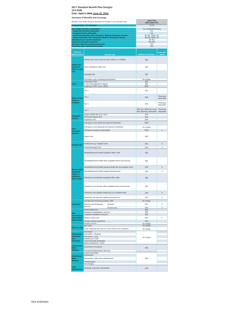|                                                      | <b>Summary of Benefits and Coverage</b><br>Member Cost Share amounts describe the Enrollee's out of pocket costs.                    |                                                                     | <b>Silver Plan</b><br>200%-250% FPL                     |                                     |
|------------------------------------------------------|--------------------------------------------------------------------------------------------------------------------------------------|---------------------------------------------------------------------|---------------------------------------------------------|-------------------------------------|
|                                                      | <b>Actuarial Value - AV Calculator</b>                                                                                               |                                                                     | 73.7%                                                   |                                     |
|                                                      | Plan design includes a deductible?<br><b>Integrated Individual deductible</b>                                                        |                                                                     | Yes, Medical/Pharmacy<br>N/A                            |                                     |
|                                                      | <b>Integrated Family deductible</b>                                                                                                  |                                                                     | N/A                                                     |                                     |
|                                                      | Individual deductible, NOT integrated: Medical / Pharmacy / Dental<br>Family deductible, NOT integrated: Medical / Pharmacy / Dental |                                                                     | \$2,200 / \$250 / \$0<br>\$4,400 / \$500 / \$0          |                                     |
|                                                      | Individual Out-of-pocket maximum<br><b>Family Out-of-pocket maximum</b>                                                              |                                                                     | \$5,700<br>\$11,400                                     |                                     |
|                                                      | HSA plan: Self-only coverage deductible                                                                                              |                                                                     | N/A                                                     |                                     |
|                                                      | <b>HSA family plan: Individual deductible</b>                                                                                        |                                                                     | N/A                                                     |                                     |
| <b>Common</b><br><b>Medical Event</b>                |                                                                                                                                      | <b>Service Type</b>                                                 | <b>Member Cost Share</b>                                | <b>Deductible</b><br><b>Applies</b> |
|                                                      | Primary care visit to treat an injury, illness, or condition                                                                         |                                                                     | \$30                                                    |                                     |
| <b>Health care</b><br>provider's<br>office or clinic | Other practitioner office visit                                                                                                      |                                                                     | \$30                                                    |                                     |
| visit                                                | Specialist visit                                                                                                                     |                                                                     | \$55                                                    |                                     |
|                                                      | Preventive care/ screening/ immunization                                                                                             |                                                                     | No charge                                               |                                     |
| <b>Tests</b>                                         | <b>Laboratory Tests</b><br>X-rays and Diagnostic Imaging                                                                             |                                                                     | \$35<br>\$65                                            |                                     |
|                                                      | Imaging (CT/PET scans, MRIs)                                                                                                         |                                                                     | \$300                                                   |                                     |
|                                                      | Tier 1                                                                                                                               | \$15                                                                |                                                         |                                     |
| <b>Drugs to treat</b><br>illness or                  | Tier <sub>2</sub>                                                                                                                    |                                                                     | \$50                                                    | Pharmacy<br>deductible              |
| condition                                            | Tier <sub>3</sub>                                                                                                                    |                                                                     | \$75                                                    | Pharmacy<br>deductible              |
|                                                      | Tier 4                                                                                                                               |                                                                     | 20% up to \$250 per script<br>after pharmacy deductible | Pharmacy<br>deductible              |
| <b>Outpatient</b><br>services                        | Surgery facility fee (e.g., ASC)<br>Physician/surgeon fees                                                                           |                                                                     | 20%<br>20%                                              |                                     |
|                                                      | Outpatient visit                                                                                                                     |                                                                     | 20%                                                     |                                     |
|                                                      | Emergency room facility fee (waived if admitted)                                                                                     |                                                                     | \$350                                                   |                                     |
| <b>Need</b>                                          | Emergency room physician fee (waived if admitted)                                                                                    |                                                                     | No charge                                               |                                     |
| immediate                                            | Emergency medical transportation                                                                                                     | \$250                                                               | X                                                       |                                     |
| attention                                            | Urgent care                                                                                                                          |                                                                     | \$30                                                    |                                     |
| <b>Hospital stay</b>                                 | Facility fee (e.g. hospital room)                                                                                                    |                                                                     | 20%                                                     | X                                   |
|                                                      | Physician/surgeon fee                                                                                                                |                                                                     | 20%                                                     | Χ                                   |
|                                                      | Mental/Behavioral health outpatient office visits                                                                                    |                                                                     | \$30                                                    |                                     |
|                                                      | Mental/Behavioral health other outpatient items and services                                                                         | \$30                                                                |                                                         |                                     |
|                                                      |                                                                                                                                      | Mental/Behavioral health inpatient facility fee (e.g.hospital room) | 20%                                                     | X                                   |
| Mental health,<br>behavioral                         | Mental/Behavioral health inpatient physician fee                                                                                     |                                                                     | 20%                                                     | X                                   |
| health, or                                           |                                                                                                                                      |                                                                     |                                                         |                                     |
| substance<br>abuse needs                             | Substance Use disorder outpatient office visits                                                                                      | \$30                                                                |                                                         |                                     |
|                                                      | Substance Use disorder other outpatient items and services                                                                           |                                                                     | \$30                                                    |                                     |
|                                                      | Substance Use inpatient facility fee (e.g. hospital room)                                                                            |                                                                     | 20%                                                     | х                                   |
|                                                      | Substance use disorder inpatient physician fee                                                                                       |                                                                     | 20%                                                     | X                                   |
|                                                      | Prenatal care and preconception visits                                                                                               |                                                                     | No charge                                               |                                     |
| Pregnancy                                            | Delivery and all inpatient<br>services                                                                                               | Hospital                                                            | 20%                                                     | X                                   |
|                                                      | Home health care                                                                                                                     | Professional                                                        | 20%<br>\$40                                             | Χ                                   |
| Help                                                 | Outpatient Rehabilitation services                                                                                                   |                                                                     | \$30                                                    |                                     |
| recovering or                                        | Outpatient Habilitation services                                                                                                     |                                                                     | \$30                                                    |                                     |
| other special<br>health needs                        | Skilled nursing care<br>Durable medical equipment                                                                                    |                                                                     | 20%<br>20%                                              | X                                   |
|                                                      | Hospice service                                                                                                                      |                                                                     | No charge                                               |                                     |
| Child eye care                                       | Eye exam                                                                                                                             |                                                                     | No charge                                               |                                     |
|                                                      | 1 pair of glasses per year (or contact lenses in lieu of glasses)<br>Oral Exam                                                       |                                                                     | No charge                                               |                                     |
| <b>Child Dental</b>                                  | Preventive - Cleaning                                                                                                                |                                                                     |                                                         |                                     |
| <b>Diagnostic</b><br>and                             | Preventive - X-ray<br>Sealants per Tooth                                                                                             |                                                                     | No charge                                               |                                     |
| <b>Preventive</b>                                    | <b>Topical Fluoride Application</b>                                                                                                  |                                                                     |                                                         |                                     |
| <b>Child Dental</b>                                  | Space Maintainers - Fixed                                                                                                            |                                                                     |                                                         |                                     |
| <b>Basic</b>                                         | <b>Restorative Procedures</b>                                                                                                        |                                                                     | 20%                                                     |                                     |
| <b>Services</b>                                      | Periodontal Maintenance Services<br>Crowns and Casts                                                                                 |                                                                     |                                                         |                                     |
| <b>Child Dental</b>                                  | Endodontics                                                                                                                          |                                                                     |                                                         |                                     |
| Major<br><b>Services</b>                             | Periodontics (other than maintenance)                                                                                                |                                                                     | 50%                                                     |                                     |
|                                                      | Prosthodontics<br>Oral Surgery                                                                                                       |                                                                     |                                                         |                                     |
| <b>Child</b><br><b>Orthodontics</b>                  | Medically necessary orthodontics                                                                                                     | 50%                                                                 |                                                         |                                     |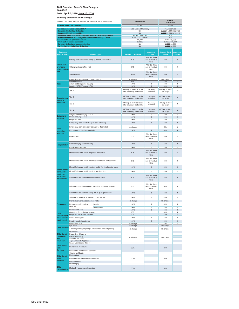#### **2017 Standard Benefit Plan Designs 10.0 EHB Date: April 7, 2016 June 16, 2016**

| Member Cost Share amounts describe the Enrollee's out of pocket costs.                  |                                                                                                    | <b>Bronze Plan</b>                                                  | <b>Bronze</b><br><b>HDHP Plan</b>                        |                                             |                                                          |                                     |
|-----------------------------------------------------------------------------------------|----------------------------------------------------------------------------------------------------|---------------------------------------------------------------------|----------------------------------------------------------|---------------------------------------------|----------------------------------------------------------|-------------------------------------|
|                                                                                         | <b>Actuarial Value - AV Calculator</b>                                                             |                                                                     | 61.9%                                                    |                                             | 62.0%                                                    |                                     |
|                                                                                         | Plan design includes a deductible?                                                                 |                                                                     | Yes, Medical/Pharmacy                                    |                                             | Yes, integrated                                          |                                     |
|                                                                                         | <b>Integrated Individual deductible</b><br><b>Integrated Family deductible</b>                     |                                                                     | N/A<br>N/A                                               |                                             | \$4,500 \$4,800 integrated<br>\$9,000 \$9,600 integrated |                                     |
|                                                                                         | Individual deductible, NOT integrated: Medical / Pharmacy / Dental                                 |                                                                     | \$6,300 / \$500 / \$0                                    |                                             | N/A                                                      |                                     |
|                                                                                         | Family deductible, NOT integrated: Medical / Pharmacy / Dental<br>Individual Out-of-pocket maximum |                                                                     | \$12,600 / \$1,000 / \$0<br>\$6,800                      |                                             | N/A<br>\$6,650 \$6,550                                   |                                     |
|                                                                                         | <b>Family Out-of-pocket maximum</b>                                                                |                                                                     | \$13,600                                                 |                                             | \$13,300 \$13,100                                        |                                     |
|                                                                                         | HSA plan: Self-only coverage deductible<br><b>HSA family plan: Individual deductible</b>           |                                                                     | N/A<br>N/A                                               |                                             | \$4,500 \$4,800<br>\$4,500 \$4,800                       |                                     |
|                                                                                         |                                                                                                    |                                                                     |                                                          |                                             |                                                          |                                     |
| <b>Common</b><br><b>Medical Event</b>                                                   |                                                                                                    | <b>Service Type</b>                                                 | <b>Member Cost Share</b>                                 | Deductible<br><b>Applies</b>                | <b>Member Cost</b><br><b>Share</b>                       | <b>Deductible</b><br><b>Applies</b> |
|                                                                                         | Primary care visit to treat an injury, illness, or condition                                       |                                                                     | \$75                                                     | After 1st three<br>non-preventive<br>visits | 40%                                                      | X                                   |
| <b>Health care</b><br>provider's<br>Other practitioner office visit<br>office or clinic |                                                                                                    |                                                                     | <b>\$75</b>                                              | After 1st three<br>non-preventive<br>visits | 40%                                                      | X                                   |
| visit                                                                                   | Specialist visit                                                                                   |                                                                     | \$105                                                    | After 1st three<br>non-preventive<br>visits | 40%                                                      | X                                   |
|                                                                                         | Preventive care/ screening/ immunization<br>Laboratory Tests                                       |                                                                     | No charge<br>\$40                                        |                                             | No charge<br>40%                                         | X                                   |
| <b>Tests</b>                                                                            | X-rays and Diagnostic Imaging                                                                      |                                                                     | 100%                                                     | X                                           | 40%                                                      | X                                   |
|                                                                                         | Imaging (CT/PET scans, MRIs)                                                                       |                                                                     | 100%                                                     | X                                           | 40%                                                      | X                                   |
|                                                                                         | Tier 1                                                                                             |                                                                     | 100% up to \$500 per script<br>after pharmacy deductible | Pharmacy<br>Deductible                      | 40% up to \$500<br>per script                            | X                                   |
| <b>Drugs to treat</b><br>illness or                                                     | Tier 2                                                                                             |                                                                     | 100% up to \$500 per script<br>after pharmacy deductible | Pharmacy<br>Deductible                      | 40% up to \$500<br>per script                            | X                                   |
| condition                                                                               | Tier 3                                                                                             |                                                                     | 100% up to \$500 per script<br>after pharmacy deductible | Pharmacy<br>Deductible                      | 40% up to \$500<br>per script                            | X                                   |
|                                                                                         | Tier 4                                                                                             |                                                                     | 100% up to \$500 per script<br>after pharmacy deductible | Pharmacy<br>Deductible<br>X                 | 40% up to \$500<br>per script                            | X<br>X                              |
| <b>Outpatient</b><br>services                                                           | Surgery facility fee (e.g., ASC)<br>Physician/surgeon fees                                         |                                                                     | 100%<br>100%                                             | X                                           | 40%<br>40%                                               | X                                   |
|                                                                                         | Outpatient visit                                                                                   |                                                                     | 100%                                                     | X                                           | 40%                                                      | X                                   |
|                                                                                         | Emergency room facility fee (waived if admitted)                                                   |                                                                     | 100%                                                     | X                                           | 40%                                                      | X                                   |
| <b>Need</b>                                                                             | Emergency room physician fee (waived if admitted)<br>Emergency medical transportation              |                                                                     | No charge<br>100%                                        | $\overline{\mathsf{x}}$                     | 0%<br>40%                                                | X<br>$\overline{\mathsf{x}}$        |
| immediate<br>attention                                                                  | Urgent care                                                                                        |                                                                     | \$75                                                     | After 1st three<br>non-preventive<br>visits | 40%                                                      | X                                   |
|                                                                                         | Facility fee (e.g. hospital room)                                                                  |                                                                     | 100%                                                     | X                                           | 40%                                                      | X                                   |
|                                                                                         | Physician/surgeon fee                                                                              |                                                                     | 100%                                                     | Х                                           | 40%                                                      | Х                                   |
|                                                                                         | Mental/Behavioral health outpatient office visits                                                  |                                                                     | \$75                                                     | After 1st three<br>non-preventive<br>visits | 40%                                                      | X                                   |
| <b>Hospital stay</b>                                                                    | Mental/Behavioral health other outpatient items and services                                       |                                                                     | \$75                                                     | After 1st three<br>non-preventive<br>visits | 40%                                                      | X                                   |
|                                                                                         |                                                                                                    | Mental/Behavioral health inpatient facility fee (e.g.hospital room) | 100%                                                     | Χ                                           | 40%                                                      | X                                   |
| Mental health,<br>behavioral                                                            | Mental/Behavioral health inpatient physician fee                                                   |                                                                     | 100%                                                     | X                                           | 40%                                                      | X                                   |
| health, or<br>substance<br>abuse needs                                                  | Substance Use disorder outpatient office visits                                                    |                                                                     | \$75                                                     | After 1st three<br>non-preventive<br>visits | 40%                                                      | X                                   |
|                                                                                         |                                                                                                    | Substance Use disorder other outpatient items and services          | \$75                                                     | After 1st three<br>non-preventive           | 40%                                                      | X                                   |
|                                                                                         | Substance Use inpatient facility fee (e.g. hospital room)                                          |                                                                     | 100%                                                     | visits<br>X                                 | 40%                                                      | X                                   |
|                                                                                         | Substance use disorder inpatient physician fee                                                     |                                                                     | 100%                                                     | X                                           | 40%                                                      | X                                   |
|                                                                                         | Prenatal care and preconception visits                                                             |                                                                     | No charge                                                |                                             | No charge                                                |                                     |
| Pregnancy                                                                               | Delivery and all inpatient                                                                         | Hospital                                                            | 100%                                                     | Χ                                           | 40%                                                      | X                                   |
|                                                                                         | services                                                                                           | Professional                                                        | 100%                                                     | X                                           | 40%                                                      | X                                   |
|                                                                                         | Home health care<br>Outpatient Rehabilitation services                                             |                                                                     | 100%<br>\$75                                             | X                                           | 40%<br>40%                                               | X<br>X                              |
| Help<br>recovering or                                                                   | Outpatient Habilitation services                                                                   |                                                                     | \$75                                                     |                                             | 40%                                                      | X                                   |
| other special                                                                           | Skilled nursing care                                                                               |                                                                     | 100%                                                     | X                                           | 40%                                                      | X                                   |
| health needs                                                                            | Durable medical equipment                                                                          |                                                                     | 100%                                                     | Χ                                           | 40%                                                      | X                                   |
|                                                                                         | Hospice service<br>Eye exam                                                                        |                                                                     | No charge<br>No charge                                   |                                             | 0%<br>No charge                                          | Х                                   |
| Child eye care                                                                          | 1 pair of glasses per year (or contact lenses in lieu of glasses)                                  |                                                                     | No charge                                                |                                             | No charge                                                |                                     |
| <b>Child Dental</b>                                                                     | Oral Exam<br>Preventive - Cleaning                                                                 |                                                                     |                                                          |                                             |                                                          |                                     |
| <b>Diagnostic</b>                                                                       | Preventive - X-ray                                                                                 |                                                                     | No charge                                                |                                             | No charge                                                |                                     |
| and<br><b>Preventive</b>                                                                | Sealants per Tooth<br><b>Topical Fluoride Application</b>                                          |                                                                     |                                                          |                                             |                                                          |                                     |
|                                                                                         | Space Maintainers - Fixed                                                                          |                                                                     |                                                          |                                             |                                                          |                                     |
| <b>Child Dental</b>                                                                     | <b>Restorative Procedures</b>                                                                      |                                                                     |                                                          |                                             |                                                          |                                     |
| Basic<br><b>Services</b>                                                                | Periodontal Maintenance Services                                                                   |                                                                     | 20%                                                      |                                             | 20%                                                      |                                     |
|                                                                                         | <b>Crowns and Casts</b>                                                                            |                                                                     |                                                          |                                             |                                                          |                                     |
| <b>Child Dental</b>                                                                     | Endodontics                                                                                        |                                                                     |                                                          |                                             |                                                          |                                     |
| <b>Major</b><br><b>Services</b>                                                         | Periodontics (other than maintenance)                                                              |                                                                     | 50%                                                      |                                             | 50%                                                      |                                     |
|                                                                                         | Prosthodontics<br>Oral Surgery                                                                     |                                                                     |                                                          |                                             |                                                          |                                     |
| Child<br><b>Orthodontics</b>                                                            | Medically necessary orthodontics                                                                   |                                                                     | 50%                                                      |                                             | 50%                                                      |                                     |
|                                                                                         |                                                                                                    |                                                                     |                                                          |                                             |                                                          |                                     |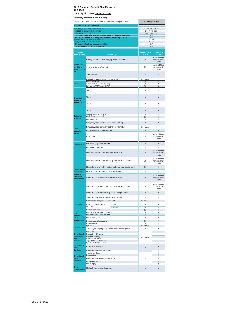**Date: April 7, 2016 June 16, 2016**

|                                                      | <b>Julianual y Of Defierits and Coverage</b><br>Member Cost Share amounts describe the Enrollee's out of pocket costs. |                                                                     | <b>Catastrophic Plan</b>                    |                                             |
|------------------------------------------------------|------------------------------------------------------------------------------------------------------------------------|---------------------------------------------------------------------|---------------------------------------------|---------------------------------------------|
|                                                      | <b>Actuarial Value - AV Calculator</b>                                                                                 |                                                                     |                                             |                                             |
|                                                      | Plan design includes a deductible?                                                                                     |                                                                     |                                             | Yes, integrated                             |
|                                                      | <b>Integrated Individual deductible</b><br><b>Integrated Family deductible</b>                                         |                                                                     | \$7,150 integrated<br>\$14,300 integrated   |                                             |
|                                                      | Individual deductible, NOT integrated: Medical / Pharmacy / Dental                                                     |                                                                     | N/A                                         |                                             |
|                                                      | Family deductible, NOT integrated: Medical / Pharmacy / Dental<br>Individual Out-of-pocket maximum                     |                                                                     | N/A<br>\$7,150                              |                                             |
|                                                      | <b>Family Out-of-pocket maximum</b>                                                                                    |                                                                     | \$14,300                                    |                                             |
|                                                      | HSA plan: Self-only coverage deductible<br>HSA family plan: Individual deductible                                      |                                                                     | N/A<br>N/A                                  |                                             |
|                                                      |                                                                                                                        |                                                                     |                                             |                                             |
| Common<br><b>Medical Event</b>                       |                                                                                                                        | <b>Service Type</b>                                                 | <b>Member Cost</b><br><b>Share</b>          | <b>Deductible</b><br><b>Applies</b>         |
|                                                      | Primary care visit to treat an injury, illness, or condition                                                           |                                                                     | 0%                                          | After 1st three<br>non-preventive<br>visits |
| <b>Health care</b><br>provider's<br>office or clinic | Other practitioner office visit                                                                                        | 0%                                                                  | After 1st three<br>non-preventive<br>visits |                                             |
| visit                                                | Specialist visit                                                                                                       |                                                                     | 0%                                          | X                                           |
|                                                      |                                                                                                                        | Preventive care/ screening/ immunization                            |                                             |                                             |
| <b>Tests</b>                                         | <b>Laboratory Tests</b><br>X-rays and Diagnostic Imaging                                                               |                                                                     | 0%<br>0%                                    | X<br>X                                      |
|                                                      | Imaging (CT/PET scans, MRIs)                                                                                           |                                                                     | 0%                                          | Χ                                           |
|                                                      | Tier 1                                                                                                                 |                                                                     | 0%                                          | X                                           |
| <b>Drugs to treat</b>                                | Tier <sub>2</sub>                                                                                                      | 0%                                                                  | X                                           |                                             |
| illness or<br>condition                              | Tier 3                                                                                                                 |                                                                     | 0%                                          | Χ                                           |
|                                                      | Tier 4                                                                                                                 |                                                                     | 0%                                          | X                                           |
| <b>Outpatient</b>                                    | Surgery facility fee (e.g., ASC)                                                                                       |                                                                     | 0%                                          | $\overline{\mathsf{x}}$                     |
| services                                             | Physician/surgeon fees<br>Outpatient visit                                                                             |                                                                     | 0%<br>0%                                    | X<br>X                                      |
|                                                      | Emergency room facility fee (waived if admitted)                                                                       |                                                                     | 0%                                          | X                                           |
|                                                      |                                                                                                                        |                                                                     |                                             |                                             |
| <b>Need</b>                                          | Emergency room physician fee (waived if admitted)                                                                      |                                                                     | No charge                                   |                                             |
| immediate                                            | Emergency medical transportation                                                                                       |                                                                     | 0%                                          | X                                           |
| attention                                            | Urgent care                                                                                                            |                                                                     | 0%                                          | After 1st three<br>non-preventive<br>visits |
|                                                      | Facility fee (e.g. hospital room)                                                                                      |                                                                     | 0%                                          | X                                           |
| <b>Hospital stay</b>                                 | Physician/surgeon fee                                                                                                  |                                                                     | 0%                                          | X                                           |
|                                                      | Mental/Behavioral health outpatient office visits                                                                      |                                                                     | 0%                                          | After 1st three<br>non-preventive<br>visits |
|                                                      | Mental/Behavioral health other outpatient items and services                                                           |                                                                     | 0%                                          | After 1st three<br>non-preventive<br>visits |
|                                                      |                                                                                                                        | Mental/Behavioral health inpatient facility fee (e.g.hospital room) | 0%                                          | X                                           |
| Mental health,                                       |                                                                                                                        |                                                                     | 0%                                          |                                             |
| behavioral<br>health, or                             | Mental/Behavioral health inpatient physician fee                                                                       |                                                                     |                                             | Χ                                           |
| substance<br>abuse needs                             | Substance Use disorder outpatient office visits                                                                        |                                                                     | 0%                                          | After 1st three<br>non-preventive<br>visits |
|                                                      |                                                                                                                        | Substance Use disorder other outpatient items and services          | 0%                                          | After 1st three<br>non-preventive<br>visits |
|                                                      | Substance Use inpatient facility fee (e.g. hospital room)                                                              |                                                                     | 0%                                          | X                                           |
|                                                      | Substance use disorder inpatient physician fee                                                                         |                                                                     | 0%                                          | Χ                                           |
|                                                      | Prenatal care and preconception visits                                                                                 |                                                                     | No charge                                   |                                             |
| Pregnancy                                            | Delivery and all inpatient                                                                                             |                                                                     |                                             | Χ                                           |
|                                                      | services                                                                                                               | Hospital<br>Professional                                            | 0%<br>0%                                    | X                                           |
|                                                      | Home health care                                                                                                       |                                                                     | 0%                                          | X                                           |
| Help                                                 | Outpatient Rehabilitation services<br>Outpatient Habilitation services                                                 |                                                                     | 0%<br>0%                                    | X<br>X                                      |
| recovering or<br>other special                       |                                                                                                                        |                                                                     | 0%                                          | X                                           |
| health needs                                         | Skilled nursing care<br>Durable medical equipment                                                                      |                                                                     | 0%                                          | $\overline{\mathsf{x}}$                     |
|                                                      | Hospice service                                                                                                        |                                                                     | 0%                                          | X                                           |
| Child eye care                                       | Eye exam                                                                                                               |                                                                     | No charge                                   |                                             |
|                                                      | 1 pair of glasses per year (or contact lenses in lieu of glasses)                                                      |                                                                     | 0%                                          | Χ                                           |
| <b>Child Dental</b>                                  | Oral Exam<br>Preventive - Cleaning                                                                                     |                                                                     |                                             |                                             |
| <b>Diagnostic</b><br>and                             | Preventive - X-ray                                                                                                     |                                                                     | No charge                                   |                                             |
| <b>Preventive</b>                                    | Sealants per Tooth<br><b>Topical Fluoride Application</b>                                                              |                                                                     |                                             |                                             |
|                                                      | Space Maintainers - Fixed                                                                                              |                                                                     |                                             |                                             |
| <b>Child Dental</b><br><b>Basic</b>                  | <b>Restorative Procedures</b>                                                                                          |                                                                     | 0%                                          | X                                           |
| <b>Services</b>                                      | Periodontal Maintenance Services                                                                                       |                                                                     |                                             | Χ                                           |
|                                                      | Crowns and Casts<br>Endodontics                                                                                        |                                                                     |                                             | X                                           |
| <b>Child Dental</b><br>Major                         | Periodontics (other than maintenance)                                                                                  |                                                                     | 0%                                          | X<br>X                                      |
| <b>Services</b>                                      | Prosthodontics                                                                                                         |                                                                     |                                             | Χ                                           |
|                                                      | Oral Surgery                                                                                                           |                                                                     |                                             | х                                           |
| <b>Child</b><br><b>Orthodontics</b>                  | Medically necessary orthodontics                                                                                       | 0%                                                                  | Χ                                           |                                             |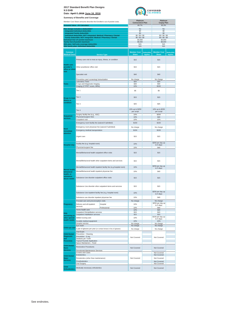



|                                                      | Member Cost Share amounts describe the Enrollee's out of pocket costs.                             |                                                                     | Platinum<br><b>Coinsurance Plan</b> |                                     | Platinum<br><b>Copay Plan</b>      |                              |
|------------------------------------------------------|----------------------------------------------------------------------------------------------------|---------------------------------------------------------------------|-------------------------------------|-------------------------------------|------------------------------------|------------------------------|
|                                                      | <b>Actuarial Value - AV Calculator</b>                                                             |                                                                     | 89.7%                               |                                     | 90.3%                              |                              |
|                                                      | Plan design includes a deductible?                                                                 |                                                                     | No                                  |                                     | No                                 |                              |
|                                                      | <b>Integrated Individual deductible</b><br><b>Integrated Family deductible</b>                     |                                                                     | \$0<br>\$0                          |                                     | \$0<br>\$0                         |                              |
|                                                      | Individual deductible, NOT integrated: Medical / Pharmacy / Dental                                 |                                                                     | \$0/\$0/\$0                         |                                     | \$0/\$0/\$0                        |                              |
|                                                      | Family deductible, NOT integrated: Medical / Pharmacy / Dental<br>Individual Out-of-pocket maximum |                                                                     | \$0/\$0/\$0<br>\$4,000              |                                     | \$0 / \$0 / \$0<br>\$4,000         |                              |
|                                                      | Family Out-of-pocket maximum<br>HSA plan: Self-only coverage deductible                            |                                                                     | \$8,000<br>N/A                      |                                     | \$8,000<br>N/A                     |                              |
|                                                      | HSA family plan: Individual deductible                                                             |                                                                     | N/A                                 |                                     | N/A                                |                              |
|                                                      |                                                                                                    |                                                                     |                                     |                                     |                                    |                              |
| Common<br><b>Medical Event</b>                       |                                                                                                    | <b>Service Type</b>                                                 | <b>Member Cost</b><br><b>Share</b>  | <b>Deductible</b><br><b>Applies</b> | <b>Member Cost</b><br><b>Share</b> | <b>Deductible</b><br>Applies |
|                                                      | Primary care visit to treat an injury, illness, or condition                                       |                                                                     | \$15                                |                                     | \$15                               |                              |
| <b>Health care</b><br>provider's<br>office or clinic | Other practitioner office visit                                                                    |                                                                     | \$15                                |                                     | \$15                               |                              |
| visit                                                | Specialist visit                                                                                   |                                                                     | \$40                                |                                     | \$40                               |                              |
|                                                      | Preventive care/ screening/ immunization                                                           |                                                                     | No charge                           |                                     | No charge                          |                              |
| <b>Tests</b>                                         | Laboratory Tests<br>X-rays and Diagnostic Imaging                                                  |                                                                     | \$20<br>\$40                        |                                     | \$20<br>\$40                       |                              |
|                                                      | Imaging (CT/PET scans, MRIs)                                                                       |                                                                     | 10%                                 |                                     | \$150                              |                              |
|                                                      | Tier 1                                                                                             |                                                                     | \$5                                 |                                     | \$5                                |                              |
| <b>Drugs to treat</b><br>illness or                  | Tier <sub>2</sub>                                                                                  |                                                                     | \$15                                |                                     | \$15                               |                              |
| condition                                            | Tier 3                                                                                             |                                                                     | \$25                                |                                     | \$25                               |                              |
|                                                      | Tier 4                                                                                             |                                                                     | 10% up to \$250<br>per script       |                                     | 10% up to \$250<br>per script      |                              |
| <b>Outpatient</b>                                    | Surgery facility fee (e.g., ASC)<br>Physician/surgeon fees                                         |                                                                     | 10%<br>10%                          |                                     | \$250<br>\$40                      |                              |
| services                                             | Outpatient visit                                                                                   |                                                                     | 10%                                 |                                     | 10%                                |                              |
|                                                      | Emergency room facility fee (waived if admitted)                                                   |                                                                     | \$150                               |                                     | \$150                              |                              |
|                                                      | Emergency room physician fee (waived if admitted)                                                  |                                                                     | No charge                           |                                     | No charge                          |                              |
| <b>Need</b><br>immediate                             | Emergency medical transportation                                                                   |                                                                     | \$150                               |                                     | \$150                              |                              |
| attention                                            | Urgent care                                                                                        |                                                                     | \$15                                |                                     | \$15                               |                              |
|                                                      |                                                                                                    |                                                                     |                                     |                                     | \$250 per day up                   |                              |
| <b>Hospital stay</b>                                 | Facility fee (e.g. hospital room)<br>Physician/surgeon fee                                         |                                                                     | 10%                                 |                                     | to 5 days                          |                              |
|                                                      | Mental/Behavioral health outpatient office visits                                                  |                                                                     | 10%<br>\$15                         |                                     | \$40<br>\$15                       |                              |
|                                                      |                                                                                                    | Mental/Behavioral health other outpatient items and services        | \$15                                |                                     | \$15                               |                              |
|                                                      |                                                                                                    | Mental/Behavioral health inpatient facility fee (e.g.hospital room) | 10%                                 |                                     | \$250 per day up<br>to 5 days      |                              |
| Mental health,<br>behavioral                         | Mental/Behavioral health inpatient physician fee                                                   |                                                                     | 10%                                 |                                     | \$40                               |                              |
| health, or<br>substance<br>abuse needs               | Substance Use disorder outpatient office visits                                                    |                                                                     | \$15                                |                                     | \$15                               |                              |
|                                                      | Substance Use disorder other outpatient items and services                                         |                                                                     | \$15                                |                                     | \$15                               |                              |
|                                                      | Substance Use inpatient facility fee (e.g. hospital room)                                          |                                                                     | 10%                                 |                                     | \$250 per day up<br>to o uay       |                              |
|                                                      | Substance use disorder inpatient physician fee                                                     |                                                                     | 10%                                 |                                     | \$40                               |                              |
|                                                      | Prenatal care and preconception visits                                                             |                                                                     | No charge                           |                                     | No charge                          |                              |
| Pregnancy                                            | Delivery and all inpatient<br>services                                                             | Hospital                                                            | 10%                                 |                                     | \$250 per day up<br>to 5 days      |                              |
|                                                      | Home health care                                                                                   | Professional                                                        | 10%<br>10%                          |                                     | \$40<br>\$20                       |                              |
| Help                                                 | Outpatient Rehabilitation services                                                                 |                                                                     | \$15                                |                                     | \$15                               |                              |
| recovering or                                        | Outpatient Habilitation services                                                                   |                                                                     | \$15                                |                                     | \$15<br>\$150 per day up           |                              |
| other special<br>health needs                        | Skilled nursing care                                                                               |                                                                     | 10%                                 |                                     | to 5 days                          |                              |
|                                                      | Durable medical equipment<br>Hospice service                                                       |                                                                     | 10%<br>No charge                    |                                     | 10%<br>No charge                   |                              |
|                                                      | Eye exam                                                                                           |                                                                     | No charge                           |                                     | No charge                          |                              |
| Child eye care                                       | 1 pair of glasses per year (or contact lenses in lieu of glasses)                                  |                                                                     | No charge                           |                                     | No charge                          |                              |
| <b>Child Dental</b>                                  | Oral Exam<br>Preventive - Cleaning                                                                 |                                                                     |                                     |                                     |                                    |                              |
| <b>Diagnostic</b>                                    | Preventive - X-ray                                                                                 |                                                                     | Not Covered                         |                                     | Not Covered                        |                              |
| and<br><b>Preventive</b>                             | Sealants per Tooth<br><b>Topical Fluoride Application</b>                                          |                                                                     |                                     |                                     |                                    |                              |
| <b>Child Dental</b>                                  | Space Maintainers - Fixed                                                                          |                                                                     |                                     |                                     |                                    |                              |
| <b>Basic</b><br><b>Services</b>                      | <b>Restorative Procedures</b><br>Periodontal Maintenance Services                                  |                                                                     | Not Covered                         |                                     | Not Covered                        |                              |
|                                                      | Crowns and Casts<br>Endodontics                                                                    |                                                                     |                                     |                                     | Not Covered<br>Not Covered         |                              |
| <b>Child Dental</b><br>Major                         | Periodontics (other than maintenance)                                                              |                                                                     | Not Covered                         |                                     | Not Covered                        |                              |
| <b>Services</b>                                      | Prosthodontics                                                                                     |                                                                     |                                     |                                     | Not Covered                        |                              |
|                                                      | <b>Oral Surgery</b>                                                                                |                                                                     |                                     |                                     | Not Covered                        |                              |
| <b>Child</b><br><b>Orthodontics</b>                  | Medically necessary orthodontics                                                                   |                                                                     | Not Covered                         |                                     | Not Covered                        |                              |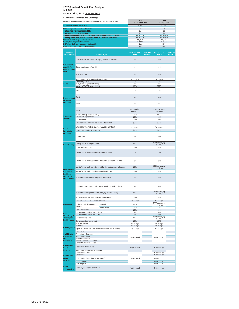**Date: April 7, 2016 June 16, 2016**

| Member Cost Share amounts describe the Enrollee's out of pocket costs. |                                                                                                           | Gold                                                                |                                    | Gold                         |                                    |                              |
|------------------------------------------------------------------------|-----------------------------------------------------------------------------------------------------------|---------------------------------------------------------------------|------------------------------------|------------------------------|------------------------------------|------------------------------|
|                                                                        | <b>Actuarial Value - AV Calculator</b>                                                                    |                                                                     | <b>Coinsurance Plan</b><br>80.9%   |                              | <b>Copay Plan</b><br>81.2%         |                              |
|                                                                        | Plan design includes a deductible?                                                                        |                                                                     | No                                 |                              | No                                 |                              |
|                                                                        | <b>Integrated Individual deductible</b>                                                                   |                                                                     | \$0                                |                              | \$0                                |                              |
|                                                                        | <b>Integrated Family deductible</b><br>Individual deductible, NOT integrated: Medical / Pharmacy / Dental |                                                                     | \$0<br>\$0/\$0/\$0                 |                              | \$0<br>\$0/\$0/\$0                 |                              |
|                                                                        | Family deductible, NOT integrated: Medical / Pharmacy / Dental<br>Individual Out-of-pocket maximum        |                                                                     | \$0/\$0/\$0<br>\$6,750             |                              | \$0/\$0/\$0<br>\$6,750             |                              |
|                                                                        | <b>Family Out-of-pocket maximum</b>                                                                       |                                                                     | \$13,500                           |                              | \$13,500                           |                              |
|                                                                        | HSA plan: Self-only coverage deductible<br>HSA family plan: Individual deductible                         |                                                                     | N/A<br>N/A                         |                              | N/A<br>N/A                         |                              |
|                                                                        |                                                                                                           |                                                                     |                                    |                              |                                    |                              |
| <b>Common</b><br><b>Medical Event</b>                                  |                                                                                                           | <b>Service Type</b>                                                 | <b>Member Cost</b><br><b>Share</b> | <b>Deductible</b><br>Applies | <b>Member Cost</b><br><b>Share</b> | <b>Deductible</b><br>Applies |
|                                                                        | Primary care visit to treat an injury, illness, or condition                                              |                                                                     | \$30                               |                              | \$30                               |                              |
| <b>Health care</b><br>provider's<br>office or clinic                   | Other practitioner office visit                                                                           |                                                                     | \$30                               |                              | \$30                               |                              |
| visit                                                                  | Specialist visit                                                                                          |                                                                     | \$55                               |                              | \$55                               |                              |
|                                                                        | Preventive care/ screening/ immunization                                                                  |                                                                     | No charge<br>\$35                  |                              | No charge                          |                              |
| <b>Tests</b>                                                           | Laboratory Tests<br>X-rays and Diagnostic Imaging                                                         |                                                                     | \$55                               |                              | \$35<br>\$55                       |                              |
|                                                                        | Imaging (CT/PET scans, MRIs)                                                                              |                                                                     | 20%                                |                              | \$275                              |                              |
|                                                                        | Tier 1                                                                                                    |                                                                     | \$15                               |                              | \$15                               |                              |
| <b>Drugs to treat</b><br>illness or                                    | Tier 2                                                                                                    |                                                                     | \$55                               |                              | \$55                               |                              |
| condition                                                              | Tier <sub>3</sub>                                                                                         |                                                                     | \$75                               |                              | \$75                               |                              |
|                                                                        | Tier 4                                                                                                    |                                                                     | 20% up to \$250<br>per script      |                              | 20% up to \$250<br>per script      |                              |
| <b>Outpatient</b>                                                      | Surgery facility fee (e.g., ASC)<br>Physician/surgeon fees                                                |                                                                     | 20%<br>20%                         |                              | \$600<br>\$55                      |                              |
| services                                                               | Outpatient visit                                                                                          |                                                                     | 20%                                |                              | 20%                                |                              |
|                                                                        | Emergency room facility fee (waived if admitted)                                                          |                                                                     | \$325                              |                              | \$325                              |                              |
| <b>Need</b>                                                            | Emergency room physician fee (waived if admitted)                                                         |                                                                     | No charge                          |                              | No charge                          |                              |
| immediate                                                              | Emergency medical transportation                                                                          |                                                                     | \$250                              |                              | \$250                              |                              |
| attention                                                              | Urgent care                                                                                               |                                                                     | \$30                               |                              | \$30                               |                              |
|                                                                        | Facility fee (e.g. hospital room)                                                                         |                                                                     | 20%                                |                              | \$600 per day up                   |                              |
| <b>Hospital stay</b>                                                   | Physician/surgeon fee                                                                                     |                                                                     | 20%                                |                              | to 5 days<br>\$55                  |                              |
|                                                                        | Mental/Behavioral health outpatient office visits                                                         |                                                                     | \$30                               |                              | \$30                               |                              |
|                                                                        | Mental/Behavioral health other outpatient items and services                                              | \$30                                                                |                                    | \$30                         |                                    |                              |
|                                                                        |                                                                                                           | Mental/Behavioral health inpatient facility fee (e.g.hospital room) | 20%                                |                              | \$600 per day up                   |                              |
| Mental health                                                          | Mental/Behavioral health inpatient physician fee                                                          |                                                                     | 20%                                |                              | to 5 days<br>\$55                  |                              |
| behavioral<br>health, or<br>substance<br>abuse needs                   | Substance Use disorder outpatient office visits                                                           |                                                                     | \$30                               |                              | \$30                               |                              |
|                                                                        | Substance Use disorder other outpatient items and services                                                |                                                                     | \$30                               |                              | \$30                               |                              |
|                                                                        |                                                                                                           |                                                                     | 20%                                |                              | \$600 per day up                   |                              |
|                                                                        | Substance Use inpatient facility fee (e.g. hospital room)                                                 |                                                                     |                                    |                              | to 5 days                          |                              |
|                                                                        | Substance use disorder inpatient physician fee                                                            |                                                                     | 20%                                |                              | \$55                               |                              |
|                                                                        | Prenatal care and preconception visits                                                                    |                                                                     | No charge                          |                              | No charge<br>\$600 per day up      |                              |
| Pregnancy                                                              | Delivery and all inpatient<br>services                                                                    | Hospital                                                            | 20%                                |                              | to 5 days                          |                              |
|                                                                        | Home health care                                                                                          | Professional                                                        | 20%<br>20%                         |                              | \$55<br>\$30                       |                              |
| Help                                                                   | Outpatient Rehabilitation services<br>Outpatient Habilitation services                                    |                                                                     | \$30<br>\$30                       |                              | \$30<br>\$30                       |                              |
| recovering or<br>other special                                         | Skilled nursing care                                                                                      |                                                                     | 20%                                |                              | \$300 per day up                   |                              |
| health needs                                                           | Durable medical equipment                                                                                 |                                                                     | 20%                                |                              | to 5 days<br>20%                   |                              |
|                                                                        | Hospice service                                                                                           |                                                                     | No charge                          |                              | No charge                          |                              |
| Child eye care                                                         | Eye exam<br>1 pair of glasses per year (or contact lenses in lieu of glasses)                             |                                                                     | No charge<br>No charge             |                              | No charge<br>No charge             |                              |
|                                                                        | Oral Exam                                                                                                 |                                                                     |                                    |                              |                                    |                              |
| <b>Child Dental</b><br><b>Diagnostic</b>                               | Preventive - Cleaning                                                                                     |                                                                     |                                    |                              |                                    |                              |
| and<br><b>Preventive</b>                                               | Preventive - X-ray<br>Sealants per Tooth<br><b>Topical Fluoride Application</b>                           |                                                                     | Not Covered                        |                              | Not Covered                        |                              |
| <b>Child Dental</b>                                                    | Space Maintainers - Fixed                                                                                 |                                                                     |                                    |                              |                                    |                              |
| <b>Basic</b><br><b>Services</b>                                        | <b>Restorative Procedures</b><br>Periodontal Maintenance Services                                         |                                                                     | Not Covered                        |                              | Not Covered                        |                              |
| <b>Child Dental</b>                                                    | Crowns and Casts<br>Endodontics                                                                           |                                                                     |                                    |                              | Not Covered<br>Not Covered         |                              |
| Major                                                                  | Periodontics (other than maintenance)                                                                     |                                                                     | Not Covered                        |                              | Not Covered                        |                              |
| <b>Services</b>                                                        | Prosthodontics                                                                                            |                                                                     |                                    |                              | Not Covered                        |                              |
| <b>Child</b>                                                           | <b>Oral Surgery</b><br>Medically necessary orthodontics                                                   |                                                                     | Not Covered                        |                              | Not Covered<br>Not Covered         |                              |
| <b>Orthodontics</b>                                                    |                                                                                                           |                                                                     |                                    |                              |                                    |                              |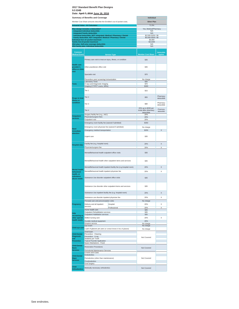|                                                      | <b>Summary of Benefits and Coverage</b>                                                                   |                                                              |                                                            |                                     |
|------------------------------------------------------|-----------------------------------------------------------------------------------------------------------|--------------------------------------------------------------|------------------------------------------------------------|-------------------------------------|
|                                                      | Member Cost Share amounts describe the Enrollee's out of pocket costs.                                    |                                                              | <b>Silver Plan</b>                                         |                                     |
|                                                      | <b>Actuarial Value - AV Calculator</b>                                                                    |                                                              | 71.5%                                                      |                                     |
|                                                      | Plan design includes a deductible?                                                                        |                                                              | Yes, Medical/Pharmacy                                      |                                     |
|                                                      | <b>Integrated Individual deductible</b>                                                                   |                                                              | N/A                                                        |                                     |
|                                                      | <b>Integrated Family deductible</b><br>Individual deductible, NOT integrated: Medical / Pharmacy / Dental |                                                              | N/A<br>\$2,500/ \$250 / \$0                                |                                     |
|                                                      | Family deductible, NOT integrated: Medical / Pharmacy / Dental                                            |                                                              | \$5,000/\$500 / \$0                                        |                                     |
|                                                      | Individual Out-of-pocket maximum                                                                          |                                                              | \$6,800                                                    |                                     |
|                                                      | <b>Family Out-of-pocket maximum</b><br>HSA plan: Self-only coverage deductible                            |                                                              | \$13,600<br>N/A                                            |                                     |
|                                                      | HSA family plan: Individual deductible                                                                    |                                                              | N/A                                                        |                                     |
|                                                      |                                                                                                           |                                                              |                                                            |                                     |
| <b>Common</b><br><b>Medical Event</b>                |                                                                                                           | <b>Service Type</b>                                          | <b>Member Cost Share</b>                                   | <b>Deductible</b><br><b>Applies</b> |
|                                                      |                                                                                                           | Primary care visit to treat an injury, illness, or condition |                                                            |                                     |
| <b>Health care</b><br>provider's<br>office or clinic | Other practitioner office visit                                                                           |                                                              | \$35                                                       |                                     |
| visit                                                | Specialist visit                                                                                          |                                                              | \$70                                                       |                                     |
|                                                      | Preventive care/ screening/ immunization                                                                  |                                                              | No charge                                                  |                                     |
| Tests                                                | <b>Laboratory Tests</b>                                                                                   |                                                              | \$35                                                       |                                     |
|                                                      | X-rays and Diagnostic Imaging<br>Imaging (CT/PET scans, MRIs)                                             |                                                              | \$70<br>\$300                                              |                                     |
|                                                      | Tier 1                                                                                                    |                                                              | \$15                                                       |                                     |
|                                                      | Tier 2                                                                                                    |                                                              | \$55                                                       | Pharmacy                            |
| <b>Drugs to treat</b><br>illness or                  |                                                                                                           |                                                              |                                                            | deductible                          |
| condition                                            | Tier <sub>3</sub>                                                                                         |                                                              | \$80                                                       | Pharmacy<br>deductible              |
|                                                      | Tier 4                                                                                                    |                                                              | 20% up to \$250 per<br>script after pharmacy<br>deductible | Pharmacy<br>deductible              |
| <b>Outpatient</b>                                    | Surgery facility fee (e.g., ASC)                                                                          |                                                              | 20%                                                        |                                     |
| services                                             | Physician/surgeon fees<br>Outpatient visit                                                                |                                                              | 20%<br>20%                                                 |                                     |
|                                                      | Emergency room facility fee (waived if admitted)                                                          |                                                              | \$350                                                      |                                     |
|                                                      |                                                                                                           |                                                              |                                                            |                                     |
| <b>Need</b>                                          | Emergency room physician fee (waived if admitted)<br>Emergency medical transportation                     |                                                              | No charge                                                  |                                     |
| immediate<br>attention                               |                                                                                                           |                                                              | \$250                                                      | Χ                                   |
|                                                      | Urgent care                                                                                               |                                                              | \$35                                                       |                                     |
| <b>Hospital stay</b>                                 | Facility fee (e.g. hospital room)                                                                         |                                                              | 20%                                                        | X                                   |
|                                                      | Physician/surgeon fee                                                                                     |                                                              | 20%                                                        | Χ                                   |
|                                                      | Mental/Behavioral health outpatient office visits                                                         |                                                              | \$35                                                       |                                     |
|                                                      | Mental/Behavioral health other outpatient items and services                                              |                                                              | \$35                                                       |                                     |
|                                                      | Mental/Behavioral health inpatient facility fee (e.g.hospital room)                                       |                                                              | 20%                                                        | X                                   |
| Mental health,<br>behavioral                         | Mental/Behavioral health inpatient physician fee                                                          |                                                              | 20%                                                        | X                                   |
| health, or<br>substance<br>abuse needs               | Substance Use disorder outpatient office visits                                                           |                                                              | \$35                                                       |                                     |
|                                                      | Substance Use disorder other outpatient items and services                                                |                                                              | \$35                                                       |                                     |
|                                                      | Substance Use inpatient facility fee (e.g. hospital room)                                                 |                                                              | 20%                                                        | X                                   |
|                                                      |                                                                                                           |                                                              |                                                            |                                     |
|                                                      | Substance use disorder inpatient physician fee                                                            |                                                              | 20%                                                        | Χ                                   |
|                                                      | Prenatal care and preconception visits                                                                    |                                                              | No charge                                                  |                                     |
| Pregnancy                                            | Delivery and all inpatient<br>services                                                                    | Hospital                                                     | 20%                                                        | X                                   |
|                                                      | Home health care                                                                                          | Professional                                                 | 20%<br>\$45                                                | X                                   |
| Help                                                 | Outpatient Rehabilitation services                                                                        |                                                              | \$35                                                       |                                     |
| recovering or                                        | Outpatient Habilitation services                                                                          |                                                              | \$35                                                       |                                     |
| other special<br>health needs                        | Skilled nursing care                                                                                      |                                                              | 20%                                                        | X                                   |
|                                                      | Durable medical equipment                                                                                 |                                                              | 20%                                                        |                                     |
|                                                      | Hospice service<br>Eye exam                                                                               |                                                              | No charge<br>No charge                                     |                                     |
| Child eye care                                       | 1 pair of glasses per year (or contact lenses in lieu of glasses)                                         |                                                              | No charge                                                  |                                     |
|                                                      | Oral Exam                                                                                                 |                                                              |                                                            |                                     |
| <b>Child Dental</b>                                  | Preventive - Cleaning                                                                                     |                                                              |                                                            |                                     |
| <b>Diagnostic</b><br>and                             | Preventive - X-ray<br>Sealants per Tooth                                                                  |                                                              | Not Covered                                                |                                     |
| <b>Preventive</b>                                    | <b>Topical Fluoride Application</b>                                                                       |                                                              |                                                            |                                     |
| <b>Child Dental</b>                                  | Space Maintainers - Fixed                                                                                 |                                                              |                                                            |                                     |
| <b>Basic</b>                                         | <b>Restorative Procedures</b>                                                                             |                                                              | Not Covered                                                |                                     |
| <b>Services</b>                                      | Periodontal Maintenance Services                                                                          |                                                              |                                                            |                                     |
|                                                      | Crowns and Casts<br>Endodontics                                                                           |                                                              |                                                            |                                     |
| <b>Child Dental</b><br>Major                         | Periodontics (other than maintenance)                                                                     |                                                              | Not Covered                                                |                                     |
| Services                                             | Prosthodontics                                                                                            |                                                              |                                                            |                                     |
|                                                      | <b>Oral Surgery</b>                                                                                       |                                                              |                                                            |                                     |
| Child                                                | Medically necessary orthodontics                                                                          | Not Covered                                                  |                                                            |                                     |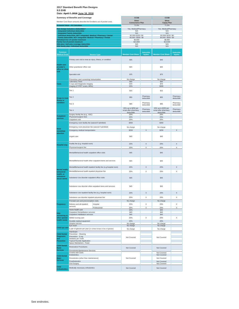| <b>Summary of Benefits and Coverage</b>                                                            |                                                                                   | <b>CCSB</b>                                                       |                                                            | <b>CCSB</b>                         |                                                            |                                     |
|----------------------------------------------------------------------------------------------------|-----------------------------------------------------------------------------------|-------------------------------------------------------------------|------------------------------------------------------------|-------------------------------------|------------------------------------------------------------|-------------------------------------|
| Member Cost Share amounts describe the Enrollee's out of pocket costs.                             |                                                                                   |                                                                   | <b>Silver</b><br><b>Coinsurance Plan</b>                   |                                     | <b>Silver</b>                                              |                                     |
| <b>Actuarial Value - AV Calculator</b>                                                             |                                                                                   |                                                                   | 71.6%                                                      |                                     | <b>Copay Plan</b><br>71.3%                                 |                                     |
| Plan design includes a deductible?                                                                 |                                                                                   |                                                                   | Yes, Medical/Pharmacy                                      |                                     | Yes, Medical/Pharmacy                                      |                                     |
|                                                                                                    | <b>Integrated Individual deductible</b><br><b>Integrated Family deductible</b>    |                                                                   |                                                            | N/A<br>N/A                          |                                                            |                                     |
|                                                                                                    | Individual deductible, NOT integrated: Medical / Pharmacy / Dental                |                                                                   |                                                            | \$2,000/\$250/\$0                   | N/A<br>\$2,000/\$250/\$0                                   |                                     |
| Family deductible, NOT integrated: Medical / Pharmacy / Dental<br>Individual Out-of-pocket maximum |                                                                                   |                                                                   | \$4,000 / \$500 / \$0<br>\$6,800                           |                                     | \$4,000 / \$500 / \$0<br>\$6,800                           |                                     |
| <b>Family Out-of-pocket maximum</b>                                                                |                                                                                   |                                                                   | \$13,600                                                   |                                     | \$13,600                                                   |                                     |
|                                                                                                    | HSA plan: Self-only coverage deductible<br>HSA family plan: Individual deductible |                                                                   | N/A<br>N/A                                                 |                                     | N/A<br>N/A                                                 |                                     |
|                                                                                                    |                                                                                   |                                                                   |                                                            |                                     |                                                            |                                     |
| Common<br><b>Medical Event</b>                                                                     |                                                                                   | <b>Service Type</b>                                               | <b>Member Cost Share</b>                                   | <b>Deductible</b><br><b>Applies</b> | <b>Member Cost Share</b>                                   | <b>Deductible</b><br><b>Applies</b> |
|                                                                                                    | Primary care visit to treat an injury, illness, or condition                      |                                                                   | \$45                                                       |                                     | \$45                                                       |                                     |
| <b>Health care</b><br>provider's<br>office or clinic<br>visit                                      | Other practitioner office visit                                                   |                                                                   | \$45                                                       |                                     | \$45                                                       |                                     |
|                                                                                                    | Specialist visit                                                                  |                                                                   | \$75                                                       |                                     | \$75                                                       |                                     |
|                                                                                                    |                                                                                   | Preventive care/ screening/ immunization                          |                                                            |                                     | No charge<br>\$40                                          |                                     |
| <b>Tests</b>                                                                                       | <b>Laboratory Tests</b><br>X-rays and Diagnostic Imaging                          |                                                                   | \$40<br>\$70                                               |                                     | \$70                                                       |                                     |
|                                                                                                    | Imaging (CT/PET scans, MRIs)                                                      |                                                                   | 20%                                                        |                                     | \$300                                                      |                                     |
|                                                                                                    | Tier 1                                                                            |                                                                   | \$15                                                       |                                     | \$15                                                       |                                     |
| <b>Drugs to treat</b><br>illness or                                                                | Tier 2                                                                            |                                                                   | \$55                                                       | Pharmacy<br>deductible              | \$55                                                       | Pharmacy<br>deductible              |
| condition                                                                                          | Tier <sub>3</sub>                                                                 |                                                                   | \$85                                                       | Pharmacy<br>deductible              | \$85                                                       | Pharmacy<br>deductible              |
|                                                                                                    | Tier <sub>4</sub>                                                                 |                                                                   | 20% up to \$250 per<br>script after pharmacy<br>deductible | Pharmacy<br>deductible              | 20% up to \$250 per<br>script after pharmacy<br>deductible | Pharmacy<br>deductible              |
| <b>Outpatient</b>                                                                                  | Surgery facility fee (e.g., ASC)<br>Physician/surgeon fees                        |                                                                   | 20%<br>20%                                                 |                                     | 20%<br>20%                                                 |                                     |
| services                                                                                           | Outpatient visit                                                                  |                                                                   | 20%                                                        |                                     | 20%                                                        |                                     |
|                                                                                                    | Emergency room facility fee (waived if admitted)                                  |                                                                   | \$350                                                      |                                     | \$350                                                      |                                     |
|                                                                                                    | Emergency room physician fee (waived if admitted)                                 |                                                                   | No charge                                                  |                                     | No charge                                                  |                                     |
| <b>Need</b><br>immediate                                                                           | Emergency medical transportation                                                  |                                                                   | \$250                                                      | X                                   | \$250                                                      | X                                   |
| attention                                                                                          |                                                                                   |                                                                   |                                                            |                                     |                                                            |                                     |
|                                                                                                    | Urgent care                                                                       |                                                                   | \$45                                                       |                                     | \$45                                                       |                                     |
| <b>Hospital stay</b>                                                                               | Facility fee (e.g. hospital room)                                                 |                                                                   | 20%                                                        | $\mathsf X$                         | 20%                                                        | X                                   |
|                                                                                                    | Physician/surgeon fee                                                             |                                                                   | 20%                                                        | X                                   | 20%                                                        | Χ                                   |
|                                                                                                    | Mental/Behavioral health outpatient office visits                                 |                                                                   | \$45                                                       |                                     | \$45                                                       |                                     |
|                                                                                                    | Mental/Behavioral health other outpatient items and services                      |                                                                   | \$45                                                       |                                     | \$45                                                       |                                     |
|                                                                                                    | Mental/Behavioral health inpatient facility fee (e.g.hospital room)               |                                                                   | 20%                                                        | X                                   | 20%                                                        | X                                   |
| Mental health,                                                                                     |                                                                                   |                                                                   | 20%                                                        | X                                   | 20%                                                        | Χ                                   |
| behavioral<br>health, or<br>substance                                                              | Mental/Behavioral health inpatient physician fee                                  |                                                                   | \$45                                                       |                                     | \$45                                                       |                                     |
| abuse needs                                                                                        | Substance Use disorder outpatient office visits                                   |                                                                   |                                                            |                                     |                                                            |                                     |
|                                                                                                    | Substance Use disorder other outpatient items and services                        |                                                                   | \$45                                                       |                                     | \$45                                                       |                                     |
|                                                                                                    | Substance Use inpatient facility fee (e.g. hospital room)                         |                                                                   | 20%                                                        | X                                   | 20%                                                        | X                                   |
|                                                                                                    | Substance use disorder inpatient physician fee                                    |                                                                   | 20%                                                        | X                                   | 20%                                                        | X                                   |
|                                                                                                    | Prenatal care and preconception visits                                            |                                                                   | No charge                                                  |                                     | No charge                                                  |                                     |
| Pregnancy                                                                                          | Delivery and all inpatient                                                        | Hospital                                                          | 20%                                                        | X                                   | 20%                                                        | X                                   |
|                                                                                                    | services                                                                          | Professional                                                      | 20%                                                        | X                                   | 20%                                                        | X                                   |
|                                                                                                    | Home health care<br>Outpatient Rehabilitation services                            |                                                                   | 20%<br>\$45                                                |                                     | \$45<br>\$45                                               |                                     |
| Help<br>recovering or                                                                              | Outpatient Habilitation services                                                  |                                                                   | \$45                                                       |                                     | \$45                                                       |                                     |
| other special                                                                                      | Skilled nursing care                                                              |                                                                   | 20%                                                        | X                                   | 20%                                                        | Χ                                   |
| health needs                                                                                       | Durable medical equipment                                                         |                                                                   | 20%                                                        |                                     | 20%                                                        |                                     |
|                                                                                                    | Hospice service<br>Eye exam                                                       |                                                                   | No charge<br>No charge                                     |                                     | No charge<br>No charge                                     |                                     |
| Child eye care                                                                                     |                                                                                   | 1 pair of glasses per year (or contact lenses in lieu of glasses) | No charge                                                  |                                     | No charge                                                  |                                     |
|                                                                                                    | Oral Exam<br>Preventive - Cleaning                                                |                                                                   |                                                            |                                     |                                                            |                                     |
| <b>Child Dental</b><br><b>Diagnostic</b>                                                           |                                                                                   |                                                                   | Not Covered                                                |                                     |                                                            |                                     |
| and                                                                                                | Sealants per Tooth                                                                | Preventive - X-ray                                                |                                                            |                                     | Not Covered                                                |                                     |
| <b>Preventive</b>                                                                                  | <b>Topical Fluoride Application</b><br>Space Maintainers - Fixed                  |                                                                   |                                                            |                                     |                                                            |                                     |
| <b>Child Dental</b>                                                                                | <b>Restorative Procedures</b>                                                     |                                                                   |                                                            |                                     |                                                            |                                     |
| <b>Basic</b><br><b>Services</b>                                                                    | Periodontal Maintenance Services                                                  |                                                                   | Not Covered                                                |                                     | Not Covered                                                |                                     |
|                                                                                                    | Crowns and Casts                                                                  |                                                                   |                                                            |                                     | Not Covered                                                |                                     |
| <b>Child Dental</b>                                                                                | Endodontics                                                                       |                                                                   |                                                            |                                     | Not Covered                                                |                                     |
| <b>Major</b><br><b>Services</b>                                                                    | Periodontics (other than maintenance)                                             |                                                                   | Not Covered                                                |                                     | Not Covered                                                |                                     |
|                                                                                                    | Prosthodontics<br><b>Oral Surgery</b>                                             |                                                                   |                                                            |                                     | Not Covered<br>Not Covered                                 |                                     |
| <b>Child</b>                                                                                       |                                                                                   |                                                                   |                                                            |                                     |                                                            |                                     |
| <b>Orthodontics</b>                                                                                | Medically necessary orthodontics                                                  | Not Covered                                                       |                                                            | Not Covered                         |                                                            |                                     |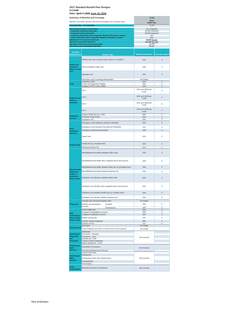|                                                      | <b>Summary of Benefits and Coverage</b>                                                                                              | <b>CCSB</b>                           |                           |
|------------------------------------------------------|--------------------------------------------------------------------------------------------------------------------------------------|---------------------------------------|---------------------------|
|                                                      | Member Cost Share amounts describe the Enrollee's out of pocket costs.                                                               | <b>Silver</b>                         |                           |
|                                                      | <b>Actuarial Value - AV Calculator</b>                                                                                               | <b>HDHP Plan</b>                      |                           |
|                                                      |                                                                                                                                      | 71.3%                                 |                           |
|                                                      | Plan design includes a deductible?<br><b>Integrated Individual deductible</b>                                                        | Yes, integrated<br>\$2,000 integrated |                           |
|                                                      | <b>Integrated Family deductible</b>                                                                                                  | \$4,000 integrated                    |                           |
|                                                      | Individual deductible, NOT integrated: Medical / Pharmacy / Dental<br>Family deductible, NOT integrated: Medical / Pharmacy / Dental | N/A                                   |                           |
|                                                      | Individual Out-of-pocket maximum                                                                                                     | N/A<br>\$6,650 \$6,550                |                           |
|                                                      | <b>Family Out-of-pocket maximum</b>                                                                                                  | \$13,300 \$13,100                     |                           |
|                                                      | HSA plan: Self-only coverage deductible<br>HSA family plan: Individual deductible                                                    | \$2,000<br>\$2,600                    |                           |
|                                                      |                                                                                                                                      |                                       |                           |
| <b>Common</b><br><b>Medical Event</b>                | <b>Service Type</b>                                                                                                                  | <b>Member Cost Share</b>              | <b>Deductible Applies</b> |
|                                                      | Primary care visit to treat an injury, illness, or condition                                                                         | 20%                                   | $\times$                  |
| <b>Health care</b><br>provider's<br>office or clinic | Other practitioner office visit                                                                                                      | 20%                                   | X                         |
| visit                                                | Specialist visit                                                                                                                     | 20%                                   | X                         |
|                                                      | Preventive care/ screening/ immunization                                                                                             | No charge                             |                           |
|                                                      | <b>Laboratory Tests</b>                                                                                                              | 20%                                   | X                         |
| <b>Tests</b>                                         | X-rays and Diagnostic Imaging<br>Imaging (CT/PET scans, MRIs)                                                                        | 20%<br>20%                            | X<br>X                    |
|                                                      | Tier 1                                                                                                                               | 20% up to \$250 per<br>script         | X                         |
| <b>Drugs to treat</b>                                | Tier 2                                                                                                                               | 20% up to \$250 per<br>script         | $\times$                  |
| illness or<br>condition                              | Tier <sub>3</sub>                                                                                                                    | 20% up to \$250 per                   | X                         |
|                                                      | Tier <sub>4</sub>                                                                                                                    | script<br>20% up to \$250 per         | X                         |
|                                                      |                                                                                                                                      | script                                |                           |
| <b>Outpatient</b>                                    | Surgery facility fee (e.g., ASC)<br>Physician/surgeon fees                                                                           | 20%<br>20%                            | X<br>X                    |
| services                                             | Outpatient visit                                                                                                                     | 20%                                   | Х                         |
|                                                      | Emergency room facility fee (waived if admitted)                                                                                     | 20%                                   | X                         |
|                                                      |                                                                                                                                      |                                       |                           |
| <b>Need</b>                                          | Emergency room physician fee (waived if admitted)                                                                                    | 0%                                    | X                         |
| immediate                                            | Emergency medical transportation                                                                                                     | 20%                                   | X                         |
| attention                                            | Urgent care                                                                                                                          | 20%                                   | X                         |
|                                                      | Facility fee (e.g. hospital room)                                                                                                    | 20%                                   | X                         |
| <b>Hospital stay</b>                                 | Physician/surgeon fee                                                                                                                | 20%                                   | X                         |
|                                                      | Mental/Behavioral health outpatient office visits                                                                                    | 20%                                   | X                         |
|                                                      | Mental/Behavioral health other outpatient items and services                                                                         | 20%                                   | X                         |
|                                                      | Mental/Behavioral health inpatient facility fee (e.g.hospital room)                                                                  | 20%                                   | X                         |
| Mental health,                                       |                                                                                                                                      |                                       |                           |
| behavioral                                           | Mental/Behavioral health inpatient physician fee                                                                                     | 20%                                   | X                         |
| health, or<br>substance<br>abuse needs               | Substance Use disorder outpatient office visits                                                                                      | 20%                                   | X                         |
|                                                      | Substance I Ise disorder other outpatient items and services                                                                         | 20%                                   | Х                         |
|                                                      | Substance Use inpatient facility fee (e.g. hospital room)                                                                            | 20%                                   | X                         |
|                                                      | Substance use disorder inpatient physician fee                                                                                       | 20%                                   | X                         |
|                                                      | Prenatal care and preconception visits                                                                                               | No charge                             |                           |
| Pregnancy                                            | Delivery and all inpatient<br>Hospital                                                                                               | 20%                                   | X                         |
|                                                      | services<br>Professional                                                                                                             | 20%                                   | Χ                         |
|                                                      | Home health care                                                                                                                     | 20%                                   | X                         |
| Help                                                 | Outpatient Rehabilitation services<br>Outpatient Habilitation services                                                               | 20%<br>20%                            | Х<br>X                    |
| recovering or<br>other special                       | Skilled nursing care                                                                                                                 | 20%                                   | X                         |
| health needs                                         | Durable medical equipment                                                                                                            | 20%                                   | X                         |
|                                                      | Hospice service                                                                                                                      | 0%                                    | Χ                         |
|                                                      | Eye exam                                                                                                                             | No charge                             |                           |
| Child eye care                                       | 1 pair of glasses per year (or contact lenses in lieu of glasses)                                                                    | No charge                             |                           |
| <b>Child Dental</b>                                  | Oral Exam                                                                                                                            |                                       |                           |
| <b>Diagnostic</b>                                    | Preventive - Cleaning<br>Preventive - X-ray                                                                                          |                                       |                           |
| and                                                  | Sealants per Tooth                                                                                                                   | Not Covered                           |                           |
| <b>Preventive</b>                                    | <b>Topical Fluoride Application</b>                                                                                                  |                                       |                           |
| <b>Child Dental</b>                                  | Space Maintainers - Fixed                                                                                                            |                                       |                           |
| <b>Basic</b>                                         | <b>Restorative Procedures</b>                                                                                                        | Not Covered                           |                           |
| <b>Services</b>                                      | Periodontal Maintenance Services                                                                                                     |                                       |                           |
|                                                      | Crowns and Casts<br>Endodontics                                                                                                      |                                       |                           |
| <b>Child Dental</b><br>Major                         | Periodontics (other than maintenance)                                                                                                | Not Covered                           |                           |
| <b>Services</b>                                      | Prosthodontics                                                                                                                       |                                       |                           |
|                                                      | Oral Surgery                                                                                                                         |                                       |                           |
| <b>Child</b>                                         |                                                                                                                                      |                                       |                           |
| <b>Orthodontic:</b>                                  | Medically necessary orthodontics                                                                                                     | Not Covered                           |                           |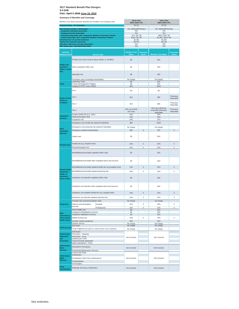**Date: April 7, 2016 June 16, 2016**

| Member Cost Share amounts describe the Enrollee's out of pocket costs. |                                                                                                    | <b>Silver Plan</b><br>100%-150% FPL |                                    | <b>Silver Plan</b><br>150%-200% FPL |                                                            |                                     |
|------------------------------------------------------------------------|----------------------------------------------------------------------------------------------------|-------------------------------------|------------------------------------|-------------------------------------|------------------------------------------------------------|-------------------------------------|
| <b>Actuarial Value - AV Calculator</b>                                 |                                                                                                    |                                     | 94.1%                              |                                     | 87.5%                                                      |                                     |
|                                                                        | Plan design includes a deductible?                                                                 |                                     |                                    | Yes, Medical/Pharmacy               | Yes, Medical/Pharmacy                                      |                                     |
|                                                                        | <b>Integrated Individual deductible</b><br><b>Integrated Family deductible</b>                     |                                     | N/A<br>N/A                         |                                     | N/A<br>N/A                                                 |                                     |
|                                                                        | Individual deductible, NOT integrated: Medical / Pharmacy / Dental                                 |                                     | \$75/\$0/\$0                       |                                     | \$650/\$50/\$0                                             |                                     |
|                                                                        | Family deductible, NOT integrated: Medical / Pharmacy / Dental<br>Individual Out-of-pocket maximum |                                     | \$150 / \$0 / \$0<br>\$2,350       |                                     | \$1,300 / \$100 / \$0<br>\$2,350                           |                                     |
|                                                                        | Family Out-of-pocket maximum                                                                       |                                     | \$4,700                            |                                     | \$4,700                                                    |                                     |
|                                                                        | HSA plan: Self-only coverage deductible<br>HSA family plan: Individual deductible                  |                                     | N/A<br>N/A                         |                                     | N/A<br>N/A                                                 |                                     |
|                                                                        |                                                                                                    |                                     |                                    |                                     |                                                            |                                     |
| <b>Common</b><br><b>Medical Event</b>                                  |                                                                                                    | <b>Service Type</b>                 | <b>Member Cost</b><br><b>Share</b> | <b>Deductible</b><br><b>Applies</b> | <b>Member Cost Share</b>                                   | <b>Deductible</b><br><b>Applies</b> |
|                                                                        | Primary care visit to treat an injury, illness, or condition                                       |                                     | \$5                                |                                     | \$10                                                       |                                     |
| <b>Health care</b><br>provider's<br>office or clinic                   | Other practitioner office visit                                                                    |                                     | \$5                                |                                     | \$10                                                       |                                     |
| visit                                                                  | Specialist visit                                                                                   |                                     | \$8                                |                                     | \$25                                                       |                                     |
|                                                                        | Preventive care/ screening/ immunization                                                           |                                     | No charge                          |                                     | No charge                                                  |                                     |
| <b>Tests</b>                                                           | <b>Laboratory Tests</b><br>X-rays and Diagnostic Imaging                                           |                                     | \$8<br>\$8                         |                                     | \$15<br>\$25                                               |                                     |
|                                                                        | Imaging (CT/PET scans, MRIs)                                                                       |                                     | \$50                               |                                     | \$100                                                      |                                     |
|                                                                        | Tier 1                                                                                             |                                     | \$3                                |                                     | \$5                                                        |                                     |
| <b>Drugs to treat</b><br>illness or                                    | Tier <sub>2</sub>                                                                                  |                                     | \$10                               |                                     | \$20                                                       | Pharmacy<br>deductible              |
| condition                                                              | Tier <sub>3</sub>                                                                                  |                                     | \$15                               |                                     | \$35                                                       | Pharmacy<br>deductible              |
|                                                                        | Tier 4                                                                                             |                                     | 10% up to \$150<br>per script      |                                     | 15% up to \$150 per<br>script after pharmacy<br>deductible | Pharmacy<br>deductible              |
| <b>Outpatient</b>                                                      | Surgery facility fee (e.g., ASC)                                                                   |                                     | 10%<br>10%                         |                                     | 15%<br>15%                                                 |                                     |
| services                                                               | Physician/surgeon fees<br>Outpatient visit                                                         |                                     | 10%                                |                                     | 15%                                                        |                                     |
|                                                                        | Emergency room facility fee (waived if admitted)                                                   |                                     | \$50                               |                                     | \$100                                                      |                                     |
|                                                                        |                                                                                                    |                                     |                                    |                                     |                                                            |                                     |
| <b>Need</b>                                                            | Emergency room physician fee (waived if admitted)                                                  |                                     | No charge                          |                                     | No charge                                                  |                                     |
| immediate                                                              | Emergency medical transportation                                                                   |                                     | \$30                               | X                                   | \$75                                                       | X                                   |
| attention                                                              | Urgent care                                                                                        |                                     | \$5                                |                                     | \$10                                                       |                                     |
|                                                                        | Facility fee (e.g. hospital room)                                                                  |                                     | 10%                                | Χ                                   | 15%                                                        | Χ                                   |
| <b>Hospital stay</b>                                                   |                                                                                                    |                                     | 10%                                | Χ                                   | 15%                                                        | Χ                                   |
|                                                                        | Physician/surgeon fee                                                                              |                                     |                                    |                                     |                                                            |                                     |
|                                                                        | Mental/Behavioral health outpatient office visits                                                  |                                     | \$5                                |                                     | \$10                                                       |                                     |
|                                                                        | Mental/Behavioral health other outpatient items and services                                       |                                     | \$5                                |                                     | \$10                                                       |                                     |
|                                                                        | Mental/Behavioral health inpatient facility fee (e.g.hospital room)                                |                                     | 10%                                | X                                   | 15%                                                        | X                                   |
| <b>Mental health</b><br>behavioral                                     | Mental/Behavioral health inpatient physician fee                                                   |                                     | 10%                                | Χ                                   | 15%                                                        | Χ                                   |
| health, or                                                             |                                                                                                    |                                     |                                    |                                     |                                                            |                                     |
| substance<br>abuse needs                                               | Substance Use disorder outpatient office visits                                                    |                                     | \$5                                |                                     | \$10                                                       |                                     |
|                                                                        | Substance Use disorder other outpatient items and services                                         | \$5                                 |                                    | \$10                                |                                                            |                                     |
|                                                                        | Substance Use inpatient facility fee (e.g. hospital room)                                          |                                     | 10%                                | X                                   | 15%                                                        | X                                   |
|                                                                        | Substance use disorder inpatient physician fee                                                     |                                     | 10%                                | X                                   | 15%                                                        | X                                   |
|                                                                        | Prenatal care and preconception visits                                                             |                                     | No charge                          |                                     |                                                            |                                     |
| Pregnancy                                                              | Delivery and all inpatient                                                                         |                                     | 10%                                | X                                   | No charge<br>15%                                           | X                                   |
|                                                                        | services                                                                                           | Hospital                            | 10%                                | X                                   | 15%                                                        | Χ                                   |
|                                                                        | Home health care                                                                                   | Professional                        | \$3                                |                                     | \$15                                                       |                                     |
| Help                                                                   | Outpatient Rehabilitation services                                                                 |                                     | \$5                                |                                     | \$10                                                       |                                     |
| recovering or                                                          | Outpatient Habilitation services                                                                   |                                     | \$5                                |                                     | \$10                                                       |                                     |
| other special<br>health needs                                          | Skilled nursing care                                                                               |                                     | 10%                                | X                                   | 15%                                                        | Χ                                   |
|                                                                        | Durable medical equipment<br>Hospice service                                                       |                                     | 10%<br>No charge                   |                                     | 15%<br>No charge                                           |                                     |
|                                                                        | Eye exam                                                                                           |                                     | No charge                          |                                     | No charge                                                  |                                     |
| Child eye care                                                         | 1 pair of glasses per year (or contact lenses in lieu of glasses)                                  |                                     | No charge                          |                                     | No charge                                                  |                                     |
|                                                                        | Oral Exam                                                                                          |                                     |                                    |                                     |                                                            |                                     |
| <b>Child Dental</b><br><b>Diagnostic</b>                               | Preventive - Cleaning                                                                              |                                     |                                    |                                     |                                                            |                                     |
| and                                                                    | Preventive - X-ray<br>Sealants per Tooth                                                           |                                     | Not Covered                        |                                     | Not Covered                                                |                                     |
| <b>Preventive</b>                                                      | <b>Topical Fluoride Application</b>                                                                |                                     |                                    |                                     |                                                            |                                     |
| <b>Child Dental</b>                                                    | Space Maintainers - Fixed                                                                          |                                     |                                    |                                     |                                                            |                                     |
| <b>Basic</b>                                                           | <b>Restorative Procedures</b>                                                                      |                                     | Not Covered                        |                                     | Not Covered                                                |                                     |
| <b>Services</b>                                                        | Periodontal Maintenance Services<br>Crowns and Casts                                               |                                     |                                    |                                     |                                                            |                                     |
| <b>Child Dental</b>                                                    | Endodontics                                                                                        |                                     |                                    |                                     |                                                            |                                     |
| Major                                                                  | Periodontics (other than maintenance)                                                              |                                     | Not Covered                        |                                     | Not Covered                                                |                                     |
| <b>Services</b>                                                        | Prosthodontics                                                                                     |                                     |                                    |                                     |                                                            |                                     |
|                                                                        | Oral Surgery                                                                                       |                                     |                                    |                                     |                                                            |                                     |
| <b>Child</b><br><b>Orthodontics</b>                                    | Medically necessary orthodontics                                                                   |                                     | Not Covered                        |                                     | Not Covered                                                |                                     |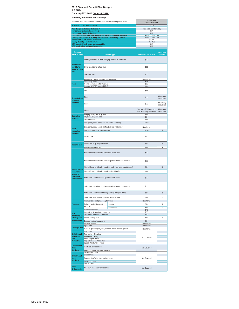**Date: April 7, 2016 June 16, 2016**

| Summary or Benemis and Coverage<br>Member Cost Share amounts describe the Enrollee's out of pocket costs. |                                                                                                                                      |                                                                     | <b>Silver Plan</b><br>200%-250% FPL            |                                     |  |
|-----------------------------------------------------------------------------------------------------------|--------------------------------------------------------------------------------------------------------------------------------------|---------------------------------------------------------------------|------------------------------------------------|-------------------------------------|--|
|                                                                                                           | <b>Actuarial Value - AV Calculator</b>                                                                                               |                                                                     | 73.7%                                          |                                     |  |
|                                                                                                           | Plan design includes a deductible?<br><b>Integrated Individual deductible</b>                                                        |                                                                     | Yes, Medical/Pharmacy<br>N/A                   |                                     |  |
|                                                                                                           | <b>Integrated Family deductible</b>                                                                                                  |                                                                     | N/A                                            |                                     |  |
|                                                                                                           | Individual deductible, NOT integrated: Medical / Pharmacy / Dental<br>Family deductible, NOT integrated: Medical / Pharmacy / Dental |                                                                     | \$2,200 / \$250 / \$0<br>\$4,400 / \$500 / \$0 |                                     |  |
|                                                                                                           | Individual Out-of-pocket maximum                                                                                                     |                                                                     | \$5,700                                        |                                     |  |
|                                                                                                           | Family Out-of-pocket maximum<br>HSA plan: Self-only coverage deductible                                                              |                                                                     | \$11,400<br>N/A                                |                                     |  |
|                                                                                                           | HSA family plan: Individual deductible                                                                                               |                                                                     | N/A                                            |                                     |  |
| Common<br><b>Medical Event</b>                                                                            |                                                                                                                                      | <b>Service Type</b>                                                 | <b>Member Cost Share</b>                       | <b>Deductible</b><br><b>Applies</b> |  |
|                                                                                                           | Primary care visit to treat an injury, illness, or condition                                                                         |                                                                     | \$30                                           |                                     |  |
| <b>Health care</b><br>provider's<br>office or clinic                                                      | Other practitioner office visit                                                                                                      |                                                                     | \$30                                           |                                     |  |
| visit                                                                                                     | Specialist visit                                                                                                                     |                                                                     | \$55                                           |                                     |  |
|                                                                                                           | Preventive care/ screening/ immunization                                                                                             |                                                                     | No charge                                      |                                     |  |
| <b>Tests</b>                                                                                              | <b>Laboratory Tests</b><br>X-rays and Diagnostic Imaging                                                                             |                                                                     | \$35<br><b>\$65</b>                            |                                     |  |
|                                                                                                           | Imaging (CT/PET scans, MRIs)                                                                                                         |                                                                     | \$300                                          |                                     |  |
|                                                                                                           | Tier 1                                                                                                                               |                                                                     | \$15                                           |                                     |  |
| <b>Drugs to treat</b><br>illness or                                                                       | Tier <sub>2</sub>                                                                                                                    |                                                                     | \$50                                           | Pharmacy<br>deductible              |  |
| condition                                                                                                 | Tier <sub>3</sub>                                                                                                                    |                                                                     | \$75                                           | Pharmacy<br>deductible              |  |
|                                                                                                           | Tier 4                                                                                                                               | 20% up to \$250 per script<br>after pharmacy deductible             | Pharmacy<br>deductible                         |                                     |  |
| <b>Outpatient</b>                                                                                         | Surgery facility fee (e.g., ASC)<br>Physician/surgeon fees                                                                           |                                                                     | 20%<br>20%                                     |                                     |  |
| services                                                                                                  | Outpatient visit                                                                                                                     |                                                                     | 20%                                            |                                     |  |
|                                                                                                           | Emergency room facility fee (waived if admitted)                                                                                     |                                                                     | \$350                                          |                                     |  |
|                                                                                                           | Emergency room physician fee (waived if admitted)                                                                                    | No charge                                                           |                                                |                                     |  |
| <b>Need</b><br>immediate                                                                                  | Emergency medical transportation                                                                                                     |                                                                     | \$250                                          | X                                   |  |
| attention                                                                                                 |                                                                                                                                      |                                                                     |                                                |                                     |  |
|                                                                                                           | Urgent care                                                                                                                          |                                                                     | \$30                                           |                                     |  |
| <b>Hospital stay</b>                                                                                      | Facility fee (e.g. hospital room)                                                                                                    |                                                                     | 20%                                            | X                                   |  |
|                                                                                                           | Physician/surgeon fee                                                                                                                |                                                                     | 20%                                            | Χ                                   |  |
|                                                                                                           | Mental/Behavioral health outpatient office visits                                                                                    |                                                                     | \$30                                           |                                     |  |
|                                                                                                           | Mental/Behavioral health other outpatient items and services                                                                         | \$30                                                                |                                                |                                     |  |
|                                                                                                           |                                                                                                                                      | Mental/Behavioral health inpatient facility fee (e.g.hospital room) | 20%                                            | X                                   |  |
| Mental health,<br>behavioral                                                                              | Mental/Behavioral health inpatient physician fee                                                                                     |                                                                     | 20%                                            | Χ                                   |  |
| health, or<br>substance<br>abuse needs                                                                    | Substance Use disorder outpatient office visits                                                                                      | \$30                                                                |                                                |                                     |  |
|                                                                                                           | Substance Use disorder other outpatient items and services                                                                           |                                                                     |                                                |                                     |  |
|                                                                                                           |                                                                                                                                      | \$30                                                                | X                                              |                                     |  |
|                                                                                                           | Substance Use inpatient facility fee (e.g. hospital room)                                                                            |                                                                     | 20%                                            |                                     |  |
|                                                                                                           | Substance use disorder inpatient physician fee                                                                                       |                                                                     | 20%                                            | X                                   |  |
|                                                                                                           | Prenatal care and preconception visits                                                                                               |                                                                     | No charge                                      |                                     |  |
| Pregnancy                                                                                                 | Delivery and all inpatient<br>services                                                                                               | Hospital                                                            | 20%                                            | X                                   |  |
|                                                                                                           | Home health care                                                                                                                     | Professional                                                        | 20%<br>\$40                                    | X                                   |  |
| Help                                                                                                      | <b>Outpatient Rehabilitation services</b><br>Outpatient Habilitation services                                                        |                                                                     | \$30<br>\$30                                   |                                     |  |
| recovering or<br>other special                                                                            | Skilled nursing care                                                                                                                 |                                                                     | 20%                                            | Χ                                   |  |
| health needs                                                                                              | Durable medical equipment                                                                                                            |                                                                     | 20%                                            |                                     |  |
|                                                                                                           | Hospice service                                                                                                                      | No charge                                                           |                                                |                                     |  |
| Child eye care                                                                                            | Eye exam<br>1 pair of glasses per year (or contact lenses in lieu of glasses)                                                        |                                                                     | No charge                                      |                                     |  |
|                                                                                                           |                                                                                                                                      |                                                                     | No charge                                      |                                     |  |
| <b>Child Dental</b>                                                                                       | Oral Exam<br>Preventive - Cleaning                                                                                                   |                                                                     |                                                |                                     |  |
| <b>Diagnostic</b><br>and                                                                                  | Preventive - X-ray<br>Sealants per Tooth                                                                                             | Not Covered                                                         |                                                |                                     |  |
| <b>Preventive</b>                                                                                         | <b>Topical Fluoride Application</b>                                                                                                  |                                                                     |                                                |                                     |  |
| <b>Child Dental</b>                                                                                       | Space Maintainers - Fixed                                                                                                            |                                                                     |                                                |                                     |  |
| <b>Basic</b>                                                                                              | <b>Restorative Procedures</b>                                                                                                        |                                                                     | Not Covered                                    |                                     |  |
| <b>Services</b>                                                                                           | Periodontal Maintenance Services<br>Crowns and Casts                                                                                 |                                                                     |                                                |                                     |  |
| <b>Child Dental</b>                                                                                       | Endodontics                                                                                                                          |                                                                     |                                                |                                     |  |
| Major                                                                                                     | Periodontics (other than maintenance)                                                                                                |                                                                     | Not Covered                                    |                                     |  |
| <b>Services</b>                                                                                           | Prosthodontics                                                                                                                       |                                                                     |                                                |                                     |  |
| <b>Child</b><br><b>Orthodontics</b>                                                                       | <b>Oral Surgery</b><br>Medically necessary orthodontics                                                                              |                                                                     | Not Covered                                    |                                     |  |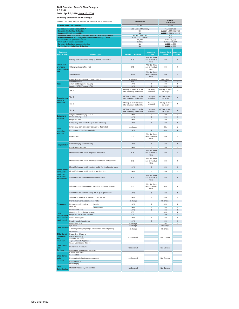#### **2017 Standard Benefit Plan Designs 9.5 EHB Date: April 7, 2016 June 16, 2016**

| Summary or Benemis and Coverage                                                       |                                                                                                           |                     |                                                          | <b>Bronze</b>                               |                                      |                                     |
|---------------------------------------------------------------------------------------|-----------------------------------------------------------------------------------------------------------|---------------------|----------------------------------------------------------|---------------------------------------------|--------------------------------------|-------------------------------------|
|                                                                                       | Member Cost Share amounts describe the Enrollee's out of pocket costs.                                    |                     | <b>Bronze Plan</b>                                       |                                             | <b>HDHP Plan</b>                     |                                     |
|                                                                                       | <b>Actuarial Value - AV Calculator</b>                                                                    |                     | 61.9%                                                    |                                             | 62.0%                                |                                     |
| Plan design includes a deductible?                                                    |                                                                                                           |                     | Yes, Medical/Pharmacy                                    |                                             | Yes, integrated                      |                                     |
|                                                                                       | <b>Integrated Individual deductible</b>                                                                   |                     | N/A<br>N/A                                               |                                             | \$4,500 \$4,800 integrated           |                                     |
|                                                                                       | <b>Integrated Family deductible</b><br>Individual deductible, NOT integrated: Medical / Pharmacy / Dental |                     | \$6,300 / \$500 / \$0                                    |                                             | \$9,000 \$9,600 integrated<br>N/A    |                                     |
|                                                                                       | Family deductible, NOT integrated: Medical / Pharmacy / Dental                                            |                     | \$12,600 / \$1,000 / \$0                                 |                                             | N/A                                  |                                     |
| Individual Out-of-pocket maximum<br><b>Family Out-of-pocket maximum</b>               |                                                                                                           |                     | \$6,800<br>\$13,600                                      |                                             | \$6,650 \$6,550<br>\$13,300 \$13,100 |                                     |
| HSA plan: Self-only coverage deductible                                               |                                                                                                           |                     | N/A                                                      |                                             | \$4,500 \$4,800                      |                                     |
|                                                                                       | HSA family plan: Individual deductible                                                                    |                     | N/A                                                      |                                             | \$4,500 \$4,800                      |                                     |
| Common<br><b>Medical Event</b>                                                        |                                                                                                           | <b>Service Type</b> | <b>Member Cost Share</b>                                 | <b>Deductible</b><br><b>Applies</b>         | <b>Member Cost</b><br><b>Share</b>   | <b>Deductible</b><br><b>Applies</b> |
|                                                                                       | Primary care visit to treat an injury, illness, or condition                                              |                     | \$75                                                     | After 1st three<br>non-preventive<br>visits | 40%                                  | X                                   |
| <b>Health care</b><br>provider's<br>office or clinic                                  | Other practitioner office visit                                                                           |                     | \$75                                                     | After 1st three<br>non-preventive<br>visits | 40%                                  | X                                   |
| visit                                                                                 | Specialist visit                                                                                          |                     | \$105                                                    | After 1st three<br>non-preventive<br>visits | 40%                                  | X                                   |
|                                                                                       | Preventive care/ screening/ immunization                                                                  |                     | No charge                                                |                                             | No charge                            |                                     |
|                                                                                       | Laboratory Tests                                                                                          |                     | \$40                                                     |                                             | 40%                                  | $\overline{X}$                      |
| <b>Tests</b>                                                                          | X-rays and Diagnostic Imaging                                                                             |                     | 100%<br>100%                                             | $\times$<br>X                               | 40%<br>40%                           | X<br>X                              |
|                                                                                       | Imaging (CT/PET scans, MRIs)                                                                              |                     |                                                          |                                             |                                      |                                     |
|                                                                                       | Tier 1                                                                                                    |                     | 100% up to \$500 per script<br>after pharmacy deductible | Pharmacy<br>Deductible                      | 40% up to \$500<br>per script        | X                                   |
| <b>Drugs to treat</b><br>illness or                                                   | Tier <sub>2</sub>                                                                                         |                     | 100% up to \$500 per script<br>after pharmacy deductible | Pharmacy<br>Deductible                      | 40% up to \$500<br>per script        | X                                   |
| condition                                                                             | Tier <sub>3</sub>                                                                                         |                     | 100% up to \$500 per script<br>after pharmacy deductible | Pharmacy<br>Deductible                      | 40% up to \$500<br>per script        | X                                   |
|                                                                                       | Tier 4                                                                                                    |                     | 100% up to \$500 per script<br>after pharmacy deductible | Pharmacy<br>Deductible                      | 40% up to \$500<br>per script        | X                                   |
| <b>Outpatient</b>                                                                     | Surgery facility fee (e.g., ASC)                                                                          |                     | 100%                                                     | X                                           | 40%                                  | X                                   |
| services                                                                              | Physician/surgeon fees<br>Outpatient visit                                                                |                     | 100%                                                     | X                                           | 40%                                  | X                                   |
|                                                                                       |                                                                                                           |                     | 100%                                                     | Х                                           | 40%                                  | Χ                                   |
|                                                                                       | Emergency room facility fee (waived if admitted)                                                          |                     | 100%                                                     | X                                           | 40%                                  | X                                   |
|                                                                                       | Emergency room physician fee (waived if admitted)                                                         |                     | No charge                                                |                                             | 0%                                   | X                                   |
| <b>Need</b><br>immediate                                                              | Emergency medical transportation                                                                          |                     | 100%                                                     | X                                           | 40%                                  | X                                   |
| attention                                                                             | Urgent care                                                                                               |                     | \$75                                                     | After 1st three<br>non-preventive<br>visits | 40%                                  | X                                   |
| <b>Hospital stay</b>                                                                  | Facility fee (e.g. hospital room)                                                                         |                     | 100%                                                     | X                                           | 40%                                  | X                                   |
|                                                                                       | Physician/surgeon fee                                                                                     |                     | 100%                                                     | Χ                                           | 40%                                  | X                                   |
|                                                                                       | Mental/Behavioral health outpatient office visits                                                         |                     | \$75                                                     | After 1st three<br>non-preventive<br>visits | 40%                                  | X                                   |
|                                                                                       | Mental/Behavioral health other outpatient items and services                                              |                     | \$75                                                     | After 1st three<br>non-preventive<br>visits | 40%                                  | X                                   |
|                                                                                       |                                                                                                           |                     | 100%                                                     | X                                           | 40%                                  | X                                   |
| Mental/Behavioral health inpatient facility fee (e.g.hospital room)<br>Mental health, |                                                                                                           |                     |                                                          |                                             |                                      |                                     |
| behavioral                                                                            | Mental/Behavioral health inpatient physician fee                                                          |                     | 100%                                                     | X                                           | 40%                                  | X                                   |
| health, or<br>substance<br>abuse needs                                                | Substance Use disorder outpatient office visits                                                           |                     | \$75                                                     | After 1st three<br>non-preventive<br>visits | 40%                                  | X                                   |
|                                                                                       | Substance Use disorder other outpatient items and services                                                |                     | \$75                                                     | After 1st three<br>non-preventive<br>visits | 40%                                  | X                                   |
|                                                                                       | Substance Use inpatient facility fee (e.g. hospital room)                                                 |                     | 100%                                                     | X                                           | 40%                                  | X                                   |
|                                                                                       | Substance use disorder inpatient physician fee                                                            |                     | 100%                                                     | Х                                           | 40%                                  | X                                   |
|                                                                                       | Prenatal care and preconception visits                                                                    |                     | No charge                                                |                                             | No charge                            |                                     |
| Pregnancy                                                                             | Delivery and all inpatient                                                                                | Hospital            | 100%                                                     | X                                           | 40%                                  | X                                   |
|                                                                                       | services                                                                                                  |                     | 100%                                                     | X                                           | 40%                                  | X                                   |
|                                                                                       | Home health care                                                                                          | Professional        | 100%                                                     | X                                           | 40%                                  | X                                   |
| Help                                                                                  | Outpatient Rehabilitation services                                                                        |                     | \$75                                                     |                                             | 40%                                  | X                                   |
| recovering or                                                                         | Outpatient Habilitation services                                                                          |                     | \$75                                                     |                                             | 40%                                  | X                                   |
| other special                                                                         | Skilled nursing care                                                                                      |                     | 100%                                                     | X                                           | 40%                                  | X                                   |
| health needs                                                                          | Durable medical equipment                                                                                 |                     | 100%                                                     | $\overline{X}$                              | 40%                                  | X                                   |
|                                                                                       | Hospice service                                                                                           |                     | No charge<br>No charge                                   |                                             | 0%<br>No charge                      | X                                   |
| Child eye care                                                                        | Eye exam<br>1 pair of glasses per year (or contact lenses in lieu of glasses)                             |                     | No charge                                                |                                             | No charge                            |                                     |
| <b>Child Dental</b>                                                                   | <b>Oral Exam</b><br>Preventive - Cleaning<br>Preventive - X-ray<br>Sealants per Tooth                     |                     |                                                          |                                             |                                      |                                     |
| <b>Diagnostic</b>                                                                     |                                                                                                           |                     |                                                          |                                             |                                      |                                     |
| and                                                                                   |                                                                                                           |                     | Not Covered                                              |                                             | Not Covered                          |                                     |
| <b>Preventive</b>                                                                     | <b>Topical Fluoride Application</b><br>Space Maintainers - Fixed                                          |                     |                                                          |                                             |                                      |                                     |
| <b>Child Dental</b>                                                                   |                                                                                                           |                     |                                                          |                                             |                                      |                                     |
| <b>Basic</b>                                                                          | <b>Restorative Procedures</b>                                                                             |                     | Not Covered                                              |                                             | Not Covered                          |                                     |
| <b>Services</b>                                                                       | Periodontal Maintenance Services                                                                          |                     |                                                          |                                             |                                      |                                     |
|                                                                                       | Crowns and Casts<br>Endodontics                                                                           |                     |                                                          |                                             |                                      |                                     |
| <b>Child Dental</b><br><b>Major</b>                                                   | Periodontics (other than maintenance)                                                                     |                     | Not Covered                                              |                                             |                                      |                                     |
| <b>Services</b>                                                                       | Prosthodontics                                                                                            |                     |                                                          |                                             | Not Covered                          |                                     |
|                                                                                       | <b>Oral Surgery</b>                                                                                       |                     |                                                          |                                             |                                      |                                     |
| <b>Child</b><br><b>Orthodontics</b>                                                   | Medically necessary orthodontics                                                                          |                     | Not Covered                                              |                                             | Not Covered                          |                                     |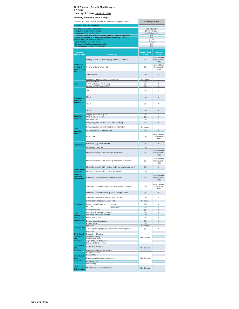|                                                      | Member Cost Share amounts describe the Enrollee's out of pocket costs.<br><b>Actuarial Value - AV Calculator</b> |                     | <b>Catastrophic Plan</b>           |                                             |
|------------------------------------------------------|------------------------------------------------------------------------------------------------------------------|---------------------|------------------------------------|---------------------------------------------|
|                                                      | Plan design includes a deductible?                                                                               |                     | Yes, integrated                    |                                             |
|                                                      | Integrated Individual deductible                                                                                 |                     | \$7,150 integrated                 |                                             |
|                                                      | <b>Integrated Family deductible</b><br>Individual deductible, NOT integrated: Medical / Pharmacy / Dental        |                     | \$14,300 integrated<br>N/A         |                                             |
|                                                      | Family deductible, NOT integrated: Medical / Pharmacy / Dental                                                   |                     | N/A                                |                                             |
|                                                      | Individual Out-of-pocket maximum<br>Family Out-of-pocket maximum                                                 |                     | \$7,150<br>\$14,300                |                                             |
|                                                      | HSA plan: Self-only coverage deductible                                                                          |                     | N/A                                |                                             |
|                                                      | HSA family plan: Individual deductible                                                                           |                     | N/A                                |                                             |
| <b>Common</b><br><b>Medical Event</b>                |                                                                                                                  | <b>Service Type</b> | <b>Member Cost</b><br><b>Share</b> | <b>Deductible</b><br><b>Applies</b>         |
|                                                      | Primary care visit to treat an injury, illness, or condition                                                     |                     | 0%                                 | After 1st three<br>non-preventive<br>visits |
| <b>Health care</b><br>provider's<br>office or clinic | Other practitioner office visit                                                                                  |                     | 0%                                 | After 1st three<br>non-preventive<br>visits |
| visit                                                | Specialist visit                                                                                                 |                     | 0%                                 | X                                           |
|                                                      | Preventive care/ screening/ immunization<br><b>Laboratory Tests</b>                                              |                     | No charge<br>0%                    | X                                           |
| <b>Tests</b>                                         | X-rays and Diagnostic Imaging                                                                                    |                     | 0%                                 | X                                           |
|                                                      | Imaging (CT/PET scans, MRIs)                                                                                     |                     | 0%                                 | X                                           |
|                                                      | Tier 1                                                                                                           |                     | 0%                                 | X                                           |
| <b>Drugs to treat</b><br>illness or                  | Tier <sub>2</sub>                                                                                                |                     | 0%                                 | $\times$                                    |
| condition                                            | Tier <sub>3</sub>                                                                                                |                     | 0%                                 | X                                           |
|                                                      | Tier <sub>4</sub>                                                                                                | 0%<br>0%            | X<br>X                             |                                             |
| <b>Outpatient</b><br>services                        | Surgery facility fee (e.g., ASC)<br>Physician/surgeon fees                                                       |                     | 0%                                 | X                                           |
|                                                      | Outpatient visit                                                                                                 |                     | 0%                                 | Х                                           |
|                                                      | Emergency room facility fee (waived if admitted)                                                                 |                     | 0%                                 | $\times$                                    |
| <b>Need</b>                                          | Emergency room physician fee (waived if admitted)                                                                |                     | No charge                          |                                             |
| immediate                                            | Emergency medical transportation                                                                                 |                     | 0%                                 | X                                           |
| attention                                            | Urgent care                                                                                                      |                     | 0%                                 | After 1st three<br>non-preventive<br>visits |
|                                                      | Facility fee (e.g. hospital room)                                                                                |                     | 0%                                 | X                                           |
| <b>Hospital stay</b>                                 | Physician/surgeon fee                                                                                            |                     | 0%                                 | X                                           |
|                                                      | Mental/Behavioral health outpatient office visits                                                                |                     | 0%                                 | After 1st three<br>non-preventive<br>visits |
|                                                      | Mental/Behavioral health other outpatient items and services                                                     |                     | 0%                                 | After 1st three<br>non-preventive<br>visits |
|                                                      | Mental/Behavioral health inpatient facility fee (e.g.hospital room)                                              |                     | 0%                                 | X                                           |
| Mental health,                                       |                                                                                                                  |                     | 0%                                 | Χ                                           |
| behavioral<br>health, or                             | Mental/Behavioral health inpatient physician fee                                                                 |                     |                                    |                                             |
| substance<br>abuse needs                             | Substance Use disorder outpatient office visits                                                                  |                     | 0%                                 | After 1st three<br>non-preventive<br>visits |
|                                                      | Substance Use disorder other outpatient items and services                                                       |                     | 0%                                 | After 1st three<br>non-preventive<br>visits |
|                                                      | Substance Use inpatient facility fee (e.g. hospital room)                                                        |                     | 0%                                 | х                                           |
|                                                      | Substance use disorder inpatient physician fee                                                                   |                     | 0%                                 | X                                           |
|                                                      | Prenatal care and preconception visits                                                                           |                     | No charge                          |                                             |
| Pregnancy                                            | Delivery and all inpatient                                                                                       | Hospital            | 0%                                 | X                                           |
|                                                      | services                                                                                                         | Professional        | 0%                                 | Χ                                           |
|                                                      | Home health care                                                                                                 |                     | 0%<br>0%                           | X<br>X                                      |
| Help<br>recovering or                                | Outpatient Rehabilitation services<br>Outpatient Habilitation services                                           |                     | 0%                                 | X                                           |
| other special                                        | Skilled nursing care                                                                                             |                     | 0%                                 | X                                           |
| health needs                                         | Durable medical equipment                                                                                        |                     | 0%                                 | $\overline{\mathsf{x}}$                     |
|                                                      | Hospice service<br>Eye exam                                                                                      |                     | 0%<br>No charge                    | Χ                                           |
| Child eye care                                       |                                                                                                                  |                     | 0%                                 | X                                           |
|                                                      | 1 pair of glasses per year (or contact lenses in lieu of glasses)<br>Oral Exam                                   |                     |                                    |                                             |
| <b>Child Dental</b><br><b>Diagnostic</b>             | Preventive - Cleaning                                                                                            |                     |                                    |                                             |
| and                                                  | Preventive - X-ray<br>Sealants per Tooth                                                                         |                     | Not Covered                        |                                             |
| <b>Preventive</b>                                    | <b>Topical Fluoride Application</b>                                                                              |                     |                                    |                                             |
| <b>Child Dental</b><br><b>Basic</b>                  | Space Maintainers - Fixed<br><b>Restorative Procedures</b>                                                       |                     | Not Covered                        |                                             |
| <b>Services</b>                                      | Periodontal Maintenance Services<br>Crowns and Casts                                                             |                     |                                    |                                             |
| <b>Child Dental</b>                                  | Endodontics                                                                                                      |                     |                                    |                                             |
| Major                                                | Periodontics (other than maintenance)                                                                            |                     | Not Covered                        |                                             |
| <b>Services</b>                                      | Prosthodontics                                                                                                   |                     |                                    |                                             |
|                                                      | <b>Oral Surgery</b>                                                                                              |                     |                                    |                                             |
| <b>Child</b><br><b>Orthodontics</b>                  | Medically necessary orthodontics                                                                                 |                     | Not Covered                        |                                             |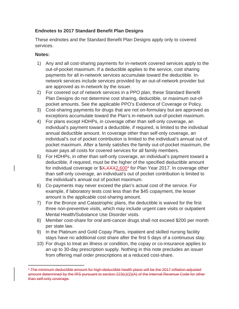#### **Endnotes to 2017 Standard Benefit Plan Designs**

These endnotes and the Standard Benefit Plan Designs apply only to covered services.

#### **Notes:**

- 1) Any and all cost-sharing payments for in-network covered services apply to the out-of-pocket maximum. If a deductible applies to the service, cost sharing payments for all in-network services accumulate toward the deductible. Innetwork services include services provided by an out-of-network provider but are approved as in-network by the issuer.
- 2) For covered out of network services in a PPO plan, these Standard Benefit Plan Designs do not determine cost sharing, deductible, or maximum out-ofpocket amounts. See the applicable PPO's Evidence of Coverage or Policy.
- 3) Cost-sharing payments for drugs that are not on-formulary but are approved as exceptions accumulate toward the Plan's in-network out-of-pocket maximum.
- 4) For plans except HDHPs, in coverage other than self-only coverage, an individual's payment toward a deductible, if required, is limited to the individual annual deductible amount. In coverage other than self-only coverage, an individual's out of pocket contribution is limited to the individual's annual out of pocket maximum. After a family satisfies the family out-of-pocket maximum, the issuer pays all costs for covered services for all family members.
- 5) For HDHPs, in other than self-only coverage, an individual's payment toward a deductible, if required, must be the higher of the specified deductible amount for individual coverage or \$X, XXX2, 600<sup>4</sup> for Plan Year 2017. In coverage other than self-only coverage, an individual's out of pocket contribution is limited to the individual's annual out of pocket maximum.
- 6) Co-payments may never exceed the plan's actual cost of the service. For example, if laboratory tests cost less than the \$45 copayment, the lesser amount is the applicable cost-sharing amount.
- 7) For the Bronze and Catastrophic plans, the deductible is waived for the first three non-preventive visits, which may include urgent care visits or outpatient Mental Health/Substance Use Disorder visits.
- 8) Member cost-share for oral anti-cancer drugs shall not exceed \$200 per month per state law.
- 9) In the Platinum and Gold Copay Plans, inpatient and skilled nursing facility stays have no additional cost share after the first 5 days of a continuous stay.
- 10) For drugs to treat an illness or condition, the copay or co-insurance applies to an up to 30-day prescription supply. Nothing in this note precludes an issuer from offering mail order prescriptions at a reduced cost-share.

 $\overline{a}$ <sup>4</sup> The minimum deductible amount for high-deductible health plans will be the 2017 inflation-adjusted amount determined by the IRS pursuant to section 223(c)(2)(A) of the Internal Revenue Code for other than self-only coverage.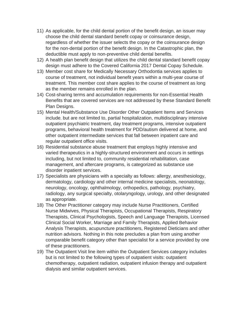- 11) As applicable, for the child dental portion of the benefit design, an issuer may choose the child dental standard benefit copay or coinsurance design, regardless of whether the issuer selects the copay or the coinsurance design for the non-dental portion of the benefit design. In the Catastrophic plan, the deductible must apply to non-preventive child dental benefits.
- 12) A health plan benefit design that utilizes the child dental standard benefit copay design must adhere to the Covered California 2017 Dental Copay Schedule.
- 13) Member cost share for Medically Necessary Orthodontia services applies to course of treatment, not individual benefit years within a multi-year course of treatment. This member cost share applies to the course of treatment as long as the member remains enrolled in the plan.
- 14) Cost-sharing terms and accumulation requirements for non-Essential Health Benefits that are covered services are not addressed by these Standard Benefit Plan Designs.
- 15) Mental Health/Substance Use Disorder Other Outpatient Items and Services include, but are not limited to, partial hospitalization, multidisciplinary intensive outpatient psychiatric treatment, day treatment programs, intensive outpatient programs, behavioral health treatment for PDD/autism delivered at home, and other outpatient intermediate services that fall between inpatient care and regular outpatient office visits.
- 16) Residential substance abuse treatment that employs highly intensive and varied therapeutics in a highly-structured environment and occurs in settings including, but not limited to, community residential rehabilitation, case management, and aftercare programs, is categorized as substance use disorder inpatient services.
- 17) Specialists are physicians with a specialty as follows: allergy, anesthesiology, dermatology, cardiology and other internal medicine specialists, neonatology, neurology, oncology, ophthalmology, orthopedics, pathology, psychiatry, radiology, any surgical specialty, otolaryngology, urology, and other designated as appropriate.
- 18) The Other Practitioner category may include Nurse Practitioners, Certified Nurse Midwives, Physical Therapists, Occupational Therapists, Respiratory Therapists, Clinical Psychologists, Speech and Language Therapists, Licensed Clinical Social Worker, Marriage and Family Therapists, Applied Behavior Analysis Therapists, acupuncture practitioners, Registered Dieticians and other nutrition advisors. Nothing in this note precludes a plan from using another comparable benefit category other than specialist for a service provided by one of these practitioners.
- 19) The Outpatient Visit line item within the Outpatient Services category includes but is not limited to the following types of outpatient visits: outpatient chemotherapy, outpatient radiation, outpatient infusion therapy and outpatient dialysis and similar outpatient services.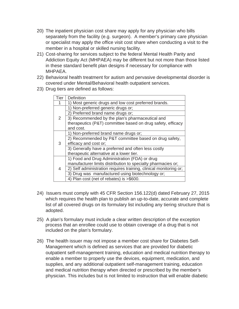- 20) The inpatient physician cost share may apply for any physician who bills separately from the facility (e.g. surgeon). A member's primary care physician or specialist may apply the office visit cost share when conducting a visit to the member in a hospital or skilled nursing facility.
- 21) Cost-sharing for services subject to the federal Mental Health Parity and Addiction Equity Act (MHPAEA) may be different but not more than those listed in these standard benefit plan designs if necessary for compliance with MHPAEA.
- 22) Behavioral health treatment for autism and pervasive developmental disorder is covered under Mental/Behavioral health outpatient services.
- 23) Drug tiers are defined as follows:

| Tier | <b>Definition</b>                                                 |
|------|-------------------------------------------------------------------|
|      | 1) Most generic drugs and low cost preferred brands.              |
|      | Non-preferred generic drugs or;                                   |
|      | 2) Preferred brand name drugs or;                                 |
| 2    | 3) Recommended by the plan's pharmaceutical and                   |
|      | therapeutics (P&T) committee based on drug safety, efficacy       |
|      | and cost.                                                         |
|      | 1) Non-preferred brand name drugs or;                             |
|      | 2) Recommended by P&T committee based on drug safety,             |
| 3    | efficacy and cost or;                                             |
|      | 3) Generally have a preferred and often less costly               |
|      | therapeutic alternative at a lower tier.                          |
| 4    | 1) Food and Drug Administration (FDA) or drug                     |
|      | manufacturer limits distribution to specialty pharmacies or;      |
|      | 2) Self administration requires training, clinical monitoring or; |
|      | 3) Drug was manufactured using biotechnology or;                  |
|      | 4) Plan cost (net of rebates) is >\$600.                          |

- 24) Issuers must comply with 45 CFR Section 156.122(d) dated February 27, 2015 which requires the health plan to publish an up-to-date, accurate and complete list of all covered drugs on its formulary list including any tiering structure that is adopted.
- 25) A plan's formulary must include a clear written description of the exception process that an enrollee could use to obtain coverage of a drug that is not included on the plan's formulary.
- 26) The health issuer may not impose a member cost share for Diabetes Self-Management which is defined as services that are provided for diabetic outpatient self-management training, education and medical nutrition therapy to enable a member to properly use the devices, equipment, medication, and supplies, and any additional outpatient self-management training, education and medical nutrition therapy when directed or prescribed by the member's physician. This includes but is not limited to instruction that will enable diabetic